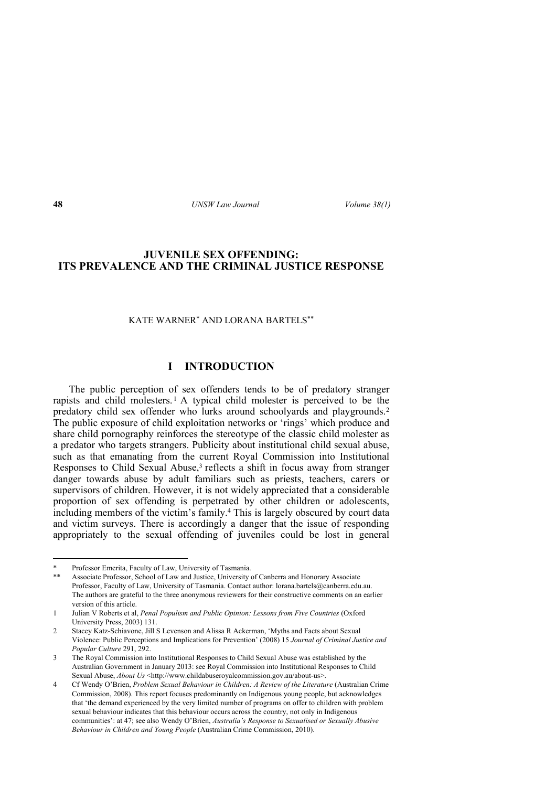# **JUVENILE SEX OFFENDING: ITS PREVALENCE AND THE CRIMINAL JUSTICE RESPONSE**

### KATE WARNER\* AND LORANA BARTELS\*\*

# **I INTRODUCTION**

The public perception of sex offenders tends to be of predatory stranger rapists and child molesters.<sup>1</sup> A typical child molester is perceived to be the predatory child sex offender who lurks around schoolyards and playgrounds.<sup>2</sup> The public exposure of child exploitation networks or 'rings' which produce and share child pornography reinforces the stereotype of the classic child molester as a predator who targets strangers. Publicity about institutional child sexual abuse, such as that emanating from the current Royal Commission into Institutional Responses to Child Sexual Abuse,<sup>3</sup> reflects a shift in focus away from stranger danger towards abuse by adult familiars such as priests, teachers, carers or supervisors of children. However, it is not widely appreciated that a considerable proportion of sex offending is perpetrated by other children or adolescents, including members of the victim's family.<sup>4</sup> This is largely obscured by court data and victim surveys. There is accordingly a danger that the issue of responding appropriately to the sexual offending of juveniles could be lost in general

<sup>\*</sup> Professor Emerita, Faculty of Law, University of Tasmania.

Associate Professor, School of Law and Justice, University of Canberra and Honorary Associate Professor, Faculty of Law, University of Tasmania. Contact author: lorana.bartels@canberra.edu.au. The authors are grateful to the three anonymous reviewers for their constructive comments on an earlier version of this article.

<sup>1</sup> Julian V Roberts et al, *Penal Populism and Public Opinion: Lessons from Five Countries* (Oxford University Press, 2003) 131.

<sup>2</sup> Stacey Katz-Schiavone, Jill S Levenson and Alissa R Ackerman, 'Myths and Facts about Sexual Violence: Public Perceptions and Implications for Prevention' (2008) 15 *Journal of Criminal Justice and Popular Culture* 291, 292.

<sup>3</sup> The Royal Commission into Institutional Responses to Child Sexual Abuse was established by the Australian Government in January 2013: see Royal Commission into Institutional Responses to Child Sexual Abuse, *About Us* <http://www.childabuseroyalcommission.gov.au/about-us>.

<sup>4</sup> Cf Wendy O'Brien, *Problem Sexual Behaviour in Children: A Review of the Literature* (Australian Crime Commission, 2008). This report focuses predominantly on Indigenous young people, but acknowledges that 'the demand experienced by the very limited number of programs on offer to children with problem sexual behaviour indicates that this behaviour occurs across the country, not only in Indigenous communities': at 47; see also Wendy O'Brien, *Australia's Response to Sexualised or Sexually Abusive Behaviour in Children and Young People* (Australian Crime Commission, 2010).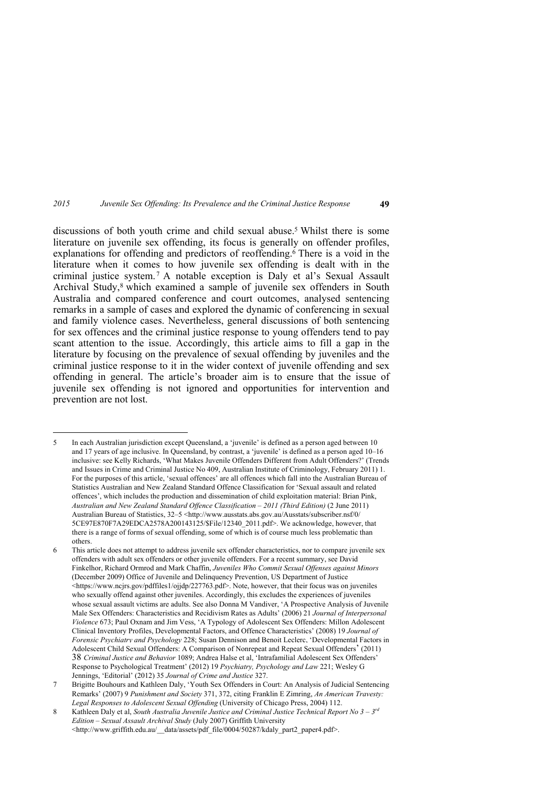discussions of both youth crime and child sexual abuse.<sup>5</sup> Whilst there is some literature on juvenile sex offending, its focus is generally on offender profiles, explanations for offending and predictors of reoffending.<sup>6</sup> There is a void in the literature when it comes to how juvenile sex offending is dealt with in the criminal justice system. <sup>7</sup> A notable exception is Daly et al's Sexual Assault Archival Study,<sup>8</sup> which examined a sample of juvenile sex offenders in South Australia and compared conference and court outcomes, analysed sentencing remarks in a sample of cases and explored the dynamic of conferencing in sexual and family violence cases. Nevertheless, general discussions of both sentencing for sex offences and the criminal justice response to young offenders tend to pay scant attention to the issue. Accordingly, this article aims to fill a gap in the literature by focusing on the prevalence of sexual offending by juveniles and the criminal justice response to it in the wider context of juvenile offending and sex offending in general. The article's broader aim is to ensure that the issue of juvenile sex offending is not ignored and opportunities for intervention and prevention are not lost.

<u>.</u>

6 This article does not attempt to address juvenile sex offender characteristics, nor to compare juvenile sex offenders with adult sex offenders or other juvenile offenders. For a recent summary, see David Finkelhor, Richard Ormrod and Mark Chaffin, *Juveniles Who Commit Sexual Offenses against Minors* (December 2009) Office of Juvenile and Delinquency Prevention, US Department of Justice <https://www.ncjrs.gov/pdffiles1/ojjdp/227763.pdf>. Note, however, that their focus was on juveniles who sexually offend against other juveniles. Accordingly, this excludes the experiences of juveniles whose sexual assault victims are adults. See also Donna M Vandiver, 'A Prospective Analysis of Juvenile Male Sex Offenders: Characteristics and Recidivism Rates as Adults' (2006) 21 *Journal of Interpersonal Violence* 673; Paul Oxnam and Jim Vess, 'A Typology of Adolescent Sex Offenders: Millon Adolescent Clinical Inventory Profiles, Developmental Factors, and Offence Characteristics' (2008) 19 *Journal of Forensic Psychiatry and Psychology* 228; Susan Dennison and Benoit Leclerc, 'Developmental Factors in Adolescent Child Sexual Offenders: A Comparison of Nonrepeat and Repeat Sexual Offenders' (2011) 38 *Criminal Justice and Behavior* 1089; Andrea Halse et al, 'Intrafamilial Adolescent Sex Offenders' Response to Psychological Treatment' (2012) 19 *Psychiatry, Psychology and Law* 221; Wesley G Jennings, 'Editorial' (2012) 35 *Journal of Crime and Justice* 327.

<sup>5</sup> In each Australian jurisdiction except Queensland, a 'juvenile' is defined as a person aged between 10 and 17 years of age inclusive. In Queensland, by contrast, a 'juvenile' is defined as a person aged 10–16 inclusive: see Kelly Richards, 'What Makes Juvenile Offenders Different from Adult Offenders?' (Trends and Issues in Crime and Criminal Justice No 409, Australian Institute of Criminology, February 2011) 1. For the purposes of this article, 'sexual offences' are all offences which fall into the Australian Bureau of Statistics Australian and New Zealand Standard Offence Classification for 'Sexual assault and related offences', which includes the production and dissemination of child exploitation material: Brian Pink, *Australian and New Zealand Standard Offence Classification – 2011 (Third Edition)* (2 June 2011) Australian Bureau of Statistics, 32–5 <http://www.ausstats.abs.gov.au/Ausstats/subscriber.nsf/0/ 5CE97E870F7A29EDCA2578A200143125/\$File/12340\_2011.pdf>. We acknowledge, however, that there is a range of forms of sexual offending, some of which is of course much less problematic than others.

<sup>7</sup> Brigitte Bouhours and Kathleen Daly, 'Youth Sex Offenders in Court: An Analysis of Judicial Sentencing Remarks' (2007) 9 *Punishment and Society* 371, 372, citing Franklin E Zimring, *An American Travesty: Legal Responses to Adolescent Sexual Offending* (University of Chicago Press, 2004) 112.

<sup>8</sup> Kathleen Daly et al, *South Australia Juvenile Justice and Criminal Justice Technical Report No 3 – 3rd Edition – Sexual Assault Archival Study* (July 2007) Griffith University <http://www.griffith.edu.au/\_\_data/assets/pdf\_file/0004/50287/kdaly\_part2\_paper4.pdf>.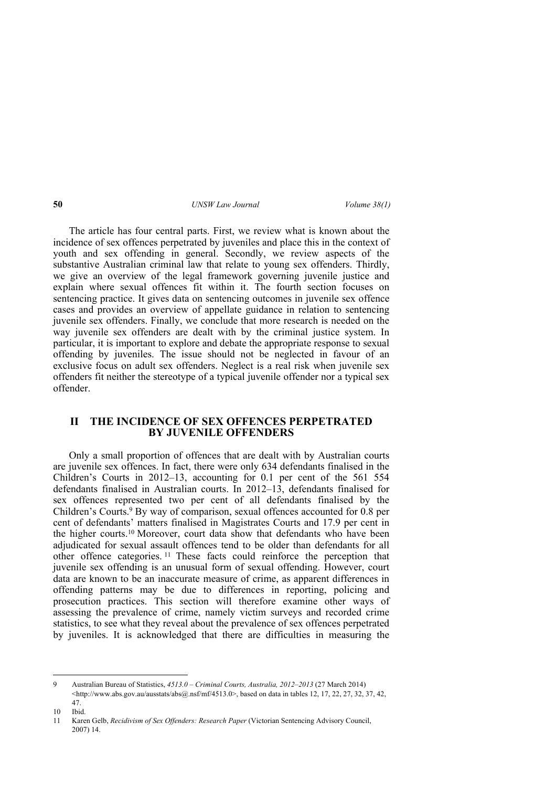The article has four central parts. First, we review what is known about the incidence of sex offences perpetrated by juveniles and place this in the context of youth and sex offending in general. Secondly, we review aspects of the substantive Australian criminal law that relate to young sex offenders. Thirdly, we give an overview of the legal framework governing juvenile justice and explain where sexual offences fit within it. The fourth section focuses on sentencing practice. It gives data on sentencing outcomes in juvenile sex offence cases and provides an overview of appellate guidance in relation to sentencing juvenile sex offenders. Finally, we conclude that more research is needed on the way juvenile sex offenders are dealt with by the criminal justice system. In particular, it is important to explore and debate the appropriate response to sexual offending by juveniles. The issue should not be neglected in favour of an exclusive focus on adult sex offenders. Neglect is a real risk when juvenile sex offenders fit neither the stereotype of a typical juvenile offender nor a typical sex offender.

# **II THE INCIDENCE OF SEX OFFENCES PERPETRATED BY JUVENILE OFFENDERS**

Only a small proportion of offences that are dealt with by Australian courts are juvenile sex offences. In fact, there were only 634 defendants finalised in the Children's Courts in 2012–13, accounting for 0.1 per cent of the 561 554 defendants finalised in Australian courts. In 2012–13, defendants finalised for sex offences represented two per cent of all defendants finalised by the Children's Courts.<sup>9</sup> By way of comparison, sexual offences accounted for 0.8 per cent of defendants' matters finalised in Magistrates Courts and 17.9 per cent in the higher courts.10 Moreover, court data show that defendants who have been adjudicated for sexual assault offences tend to be older than defendants for all other offence categories. <sup>11</sup> These facts could reinforce the perception that juvenile sex offending is an unusual form of sexual offending. However, court data are known to be an inaccurate measure of crime, as apparent differences in offending patterns may be due to differences in reporting, policing and prosecution practices. This section will therefore examine other ways of assessing the prevalence of crime, namely victim surveys and recorded crime statistics, to see what they reveal about the prevalence of sex offences perpetrated by juveniles. It is acknowledged that there are difficulties in measuring the

<sup>9</sup> Australian Bureau of Statistics, *4513.0 – Criminal Courts, Australia, 2012–2013* (27 March 2014)  $\text{Khttp://www.abs.gov.au/ausstats/abs@.nsf/mf/4513.0>}$ , based on data in tables 12, 17, 22, 27, 32, 37, 42, 47.

<sup>10</sup> Ibid.

<sup>11</sup> Karen Gelb, *Recidivism of Sex Offenders: Research Paper* (Victorian Sentencing Advisory Council, 2007) 14.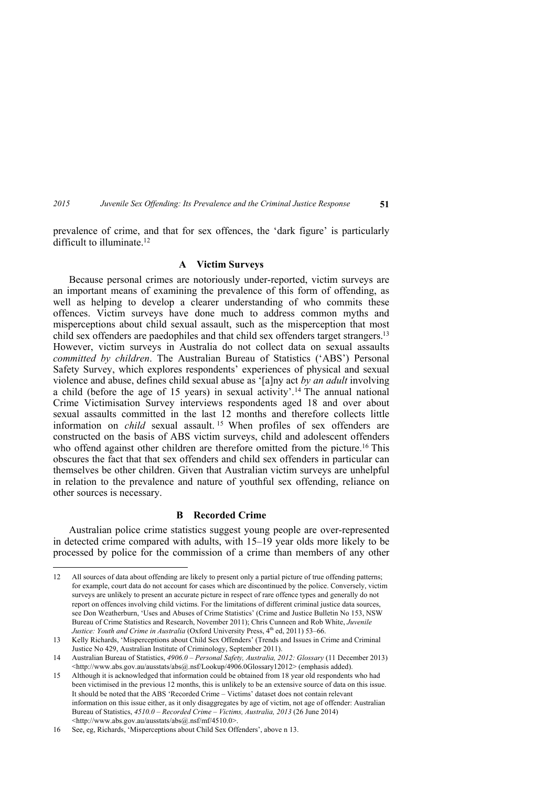<u>.</u>

### **A Victim Surveys**

Because personal crimes are notoriously under-reported, victim surveys are an important means of examining the prevalence of this form of offending, as well as helping to develop a clearer understanding of who commits these offences. Victim surveys have done much to address common myths and misperceptions about child sexual assault, such as the misperception that most child sex offenders are paedophiles and that child sex offenders target strangers.<sup>13</sup> However, victim surveys in Australia do not collect data on sexual assaults *committed by children*. The Australian Bureau of Statistics ('ABS') Personal Safety Survey, which explores respondents' experiences of physical and sexual violence and abuse, defines child sexual abuse as '[a]ny act *by an adult* involving a child (before the age of 15 years) in sexual activity'.14 The annual national Crime Victimisation Survey interviews respondents aged 18 and over about sexual assaults committed in the last 12 months and therefore collects little information on *child* sexual assault. <sup>15</sup> When profiles of sex offenders are constructed on the basis of ABS victim surveys, child and adolescent offenders who offend against other children are therefore omitted from the picture.<sup>16</sup> This obscures the fact that that sex offenders and child sex offenders in particular can themselves be other children. Given that Australian victim surveys are unhelpful in relation to the prevalence and nature of youthful sex offending, reliance on other sources is necessary.

### **B Recorded Crime**

Australian police crime statistics suggest young people are over-represented in detected crime compared with adults, with 15–19 year olds more likely to be processed by police for the commission of a crime than members of any other

<sup>12</sup> All sources of data about offending are likely to present only a partial picture of true offending patterns; for example, court data do not account for cases which are discontinued by the police. Conversely, victim surveys are unlikely to present an accurate picture in respect of rare offence types and generally do not report on offences involving child victims. For the limitations of different criminal justice data sources, see Don Weatherburn, 'Uses and Abuses of Crime Statistics' (Crime and Justice Bulletin No 153, NSW Bureau of Crime Statistics and Research, November 2011); Chris Cunneen and Rob White, *Juvenile Justice: Youth and Crime in Australia* (Oxford University Press, 4<sup>th</sup> ed, 2011) 53–66.

<sup>13</sup> Kelly Richards, 'Misperceptions about Child Sex Offenders' (Trends and Issues in Crime and Criminal Justice No 429, Australian Institute of Criminology, September 2011).

<sup>14</sup> Australian Bureau of Statistics, *4906.0 – Personal Safety, Australia, 2012: Glossary* (11 December 2013) <http://www.abs.gov.au/ausstats/abs@.nsf/Lookup/4906.0Glossary12012> (emphasis added).

<sup>15</sup> Although it is acknowledged that information could be obtained from 18 year old respondents who had been victimised in the previous 12 months, this is unlikely to be an extensive source of data on this issue. It should be noted that the ABS 'Recorded Crime – Victims' dataset does not contain relevant information on this issue either, as it only disaggregates by age of victim, not age of offender: Australian Bureau of Statistics, *4510.0 – Recorded Crime – Victims, Australia, 2013* (26 June 2014) <http://www.abs.gov.au/ausstats/abs@.nsf/mf/4510.0>.

<sup>16</sup> See, eg, Richards, 'Misperceptions about Child Sex Offenders', above n 13.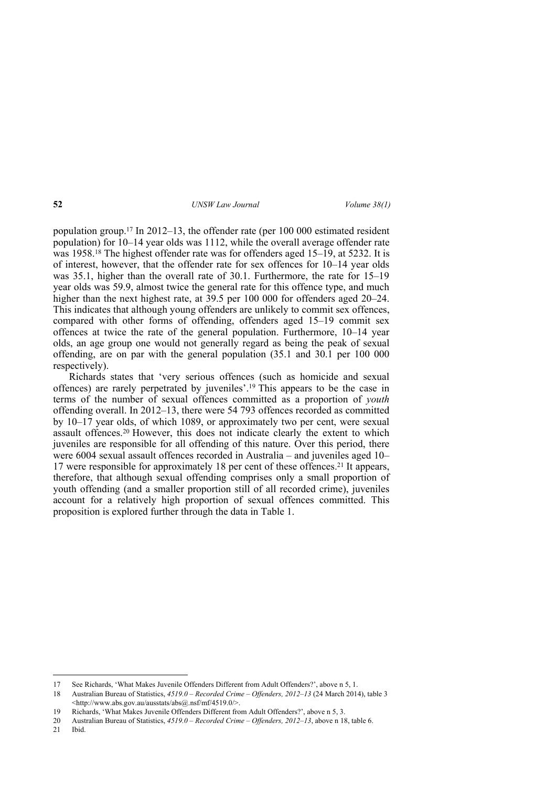population group.17 In 2012–13, the offender rate (per 100 000 estimated resident population) for  $10-14$  year olds was 1112, while the overall average offender rate was 1958.<sup>18</sup> The highest offender rate was for offenders aged 15–19, at 5232. It is of interest, however, that the offender rate for sex offences for 10–14 year olds was 35.1, higher than the overall rate of 30.1. Furthermore, the rate for 15–19 year olds was 59.9, almost twice the general rate for this offence type, and much higher than the next highest rate, at 39.5 per 100 000 for offenders aged 20–24. This indicates that although young offenders are unlikely to commit sex offences, compared with other forms of offending, offenders aged 15–19 commit sex offences at twice the rate of the general population. Furthermore, 10–14 year olds, an age group one would not generally regard as being the peak of sexual offending, are on par with the general population (35.1 and 30.1 per 100 000 respectively).

Richards states that 'very serious offences (such as homicide and sexual offences) are rarely perpetrated by juveniles'.19 This appears to be the case in terms of the number of sexual offences committed as a proportion of *youth* offending overall. In 2012–13, there were 54 793 offences recorded as committed by 10–17 year olds, of which 1089, or approximately two per cent, were sexual assault offences.20 However, this does not indicate clearly the extent to which juveniles are responsible for all offending of this nature. Over this period, there were 6004 sexual assault offences recorded in Australia – and juveniles aged 10– 17 were responsible for approximately 18 per cent of these offences.21 It appears, therefore, that although sexual offending comprises only a small proportion of youth offending (and a smaller proportion still of all recorded crime), juveniles account for a relatively high proportion of sexual offences committed. This proposition is explored further through the data in Table 1.

<sup>17</sup> See Richards, 'What Makes Juvenile Offenders Different from Adult Offenders?', above n 5, 1.

<sup>18</sup> Australian Bureau of Statistics, *4519.0 – Recorded Crime – Offenders, 2012–13* (24 March 2014), table 3 <http://www.abs.gov.au/ausstats/abs@.nsf/mf/4519.0/>.

<sup>19</sup> Richards, 'What Makes Juvenile Offenders Different from Adult Offenders?', above n 5, 3.

<sup>20</sup> Australian Bureau of Statistics, *4519.0 – Recorded Crime – Offenders, 2012–13*, above n 18, table 6.

<sup>21</sup> Ibid.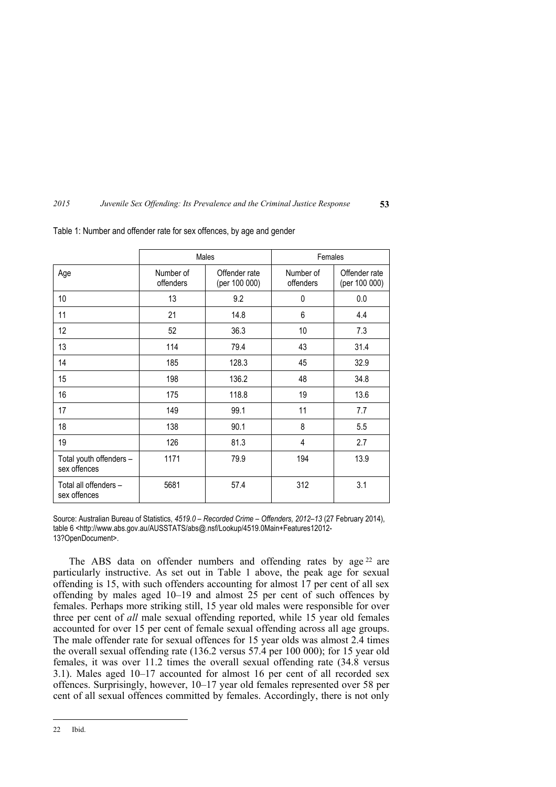|                                         | Males                  |                                | Females                |                                |
|-----------------------------------------|------------------------|--------------------------------|------------------------|--------------------------------|
| Age                                     | Number of<br>offenders | Offender rate<br>(per 100 000) | Number of<br>offenders | Offender rate<br>(per 100 000) |
| 10                                      | 13                     | 9.2                            | 0                      | 0.0                            |
| 11                                      | 21                     | 14.8                           | 6                      | 4.4                            |
| 12                                      | 52                     | 36.3                           | 10                     | 7.3                            |
| 13                                      | 114                    | 79.4                           | 43                     | 31.4                           |
| 14                                      | 185                    | 128.3                          | 45                     | 32.9                           |
| 15                                      | 198                    | 136.2                          | 48                     | 34.8                           |
| 16                                      | 175                    | 118.8                          | 19                     | 13.6                           |
| 17                                      | 149                    | 99.1                           | 11                     | 7.7                            |
| 18                                      | 138                    | 90.1                           | 8                      | 5.5                            |
| 19                                      | 126                    | 81.3                           | 4                      | 2.7                            |
| Total youth offenders -<br>sex offences | 1171                   | 79.9                           | 194                    | 13.9                           |
| Total all offenders -<br>sex offences   | 5681                   | 57.4                           | 312                    | 3.1                            |

Table 1: Number and offender rate for sex offences, by age and gender

Source: Australian Bureau of Statistics, *4519.0 – Recorded Crime – Offenders, 2012–13* (27 February 2014), table 6 <http://www.abs.gov.au/AUSSTATS/abs@.nsf/Lookup/4519.0Main+Features12012- 13?OpenDocument>.

The ABS data on offender numbers and offending rates by age<sup>22</sup> are particularly instructive. As set out in Table 1 above, the peak age for sexual offending is 15, with such offenders accounting for almost  $\hat{17}$  per cent of all sex offending by males aged 10–19 and almost 25 per cent of such offences by females. Perhaps more striking still, 15 year old males were responsible for over three per cent of *all* male sexual offending reported, while 15 year old females accounted for over 15 per cent of female sexual offending across all age groups. The male offender rate for sexual offences for 15 year olds was almost 2.4 times the overall sexual offending rate (136.2 versus 57.4 per 100 000); for 15 year old females, it was over 11.2 times the overall sexual offending rate (34.8 versus 3.1). Males aged 10–17 accounted for almost 16 per cent of all recorded sex offences. Surprisingly, however, 10–17 year old females represented over 58 per cent of all sexual offences committed by females. Accordingly, there is not only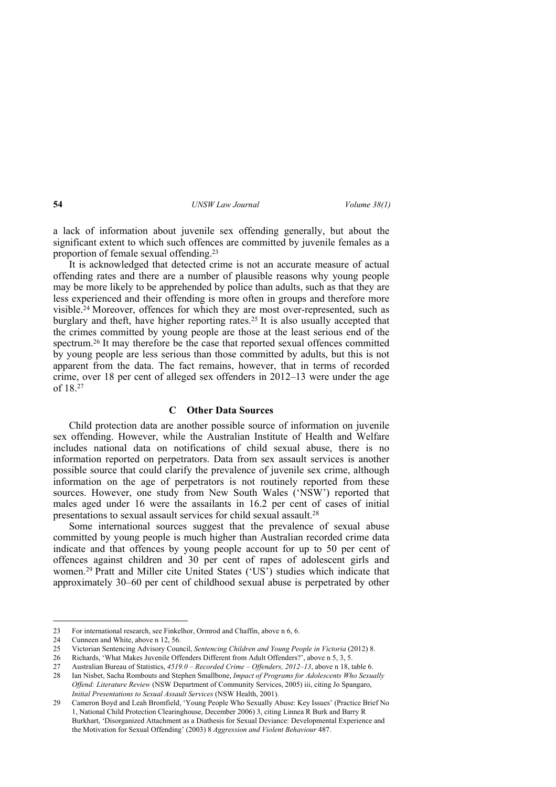a lack of information about juvenile sex offending generally, but about the significant extent to which such offences are committed by juvenile females as a proportion of female sexual offending.<sup>23</sup>

It is acknowledged that detected crime is not an accurate measure of actual offending rates and there are a number of plausible reasons why young people may be more likely to be apprehended by police than adults, such as that they are less experienced and their offending is more often in groups and therefore more visible.24 Moreover, offences for which they are most over-represented, such as burglary and theft, have higher reporting rates.25 It is also usually accepted that the crimes committed by young people are those at the least serious end of the spectrum.26 It may therefore be the case that reported sexual offences committed by young people are less serious than those committed by adults, but this is not apparent from the data. The fact remains, however, that in terms of recorded crime, over 18 per cent of alleged sex offenders in 2012–13 were under the age of 18.<sup>27</sup>

### **C Other Data Sources**

Child protection data are another possible source of information on juvenile sex offending. However, while the Australian Institute of Health and Welfare includes national data on notifications of child sexual abuse, there is no information reported on perpetrators. Data from sex assault services is another possible source that could clarify the prevalence of juvenile sex crime, although information on the age of perpetrators is not routinely reported from these sources. However, one study from New South Wales ('NSW') reported that males aged under 16 were the assailants in 16.2 per cent of cases of initial presentations to sexual assault services for child sexual assault.<sup>28</sup>

Some international sources suggest that the prevalence of sexual abuse committed by young people is much higher than Australian recorded crime data indicate and that offences by young people account for up to 50 per cent of offences against children and 30 per cent of rapes of adolescent girls and women.<sup>29</sup> Pratt and Miller cite United States ('US') studies which indicate that approximately 30–60 per cent of childhood sexual abuse is perpetrated by other

<sup>23</sup> For international research, see Finkelhor, Ormrod and Chaffin, above n 6, 6.

<sup>24</sup> Cunneen and White, above n 12, 56.<br>25 Victorian Sentencing Advisory Cour

<sup>25</sup> Victorian Sentencing Advisory Council, *Sentencing Children and Young People in Victoria* (2012) 8.

<sup>26</sup> Richards, 'What Makes Juvenile Offenders Different from Adult Offenders?', above n 5, 3, 5.

<sup>27</sup> Australian Bureau of Statistics, *4519.0 – Recorded Crime – Offenders, 2012–13*, above n 18, table 6.

<sup>28</sup> Ian Nisbet, Sacha Rombouts and Stephen Smallbone, *Impact of Programs for Adolescents Who Sexually Offend: Literature Review* (NSW Department of Community Services, 2005) iii, citing Jo Spangaro, *Initial Presentations to Sexual Assault Services* (NSW Health, 2001).

<sup>29</sup> Cameron Boyd and Leah Bromfield, 'Young People Who Sexually Abuse: Key Issues' (Practice Brief No 1, National Child Protection Clearinghouse, December 2006) 3, citing Linnea R Burk and Barry R Burkhart, 'Disorganized Attachment as a Diathesis for Sexual Deviance: Developmental Experience and the Motivation for Sexual Offending' (2003) 8 *Aggression and Violent Behaviour* 487.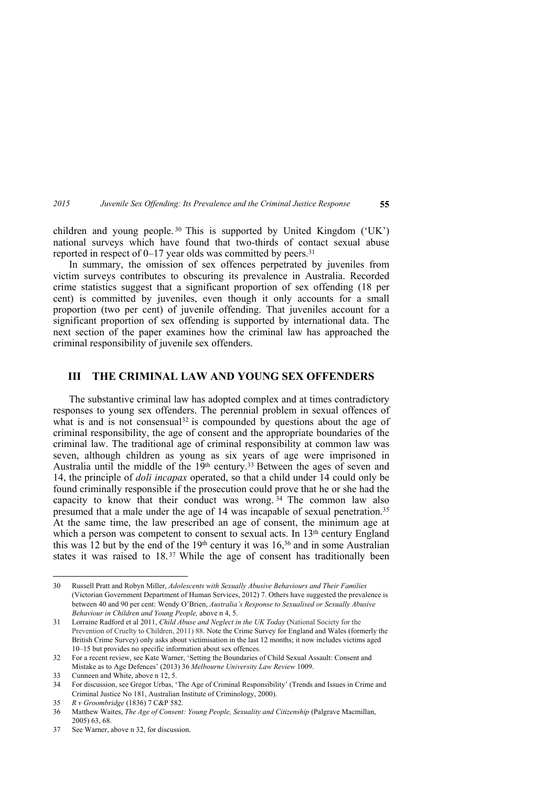children and young people. <sup>30</sup> This is supported by United Kingdom ('UK') national surveys which have found that two-thirds of contact sexual abuse reported in respect of  $0-17$  year olds was committed by peers.<sup>31</sup>

In summary, the omission of sex offences perpetrated by juveniles from victim surveys contributes to obscuring its prevalence in Australia. Recorded crime statistics suggest that a significant proportion of sex offending (18 per cent) is committed by juveniles, even though it only accounts for a small proportion (two per cent) of juvenile offending. That juveniles account for a significant proportion of sex offending is supported by international data. The next section of the paper examines how the criminal law has approached the criminal responsibility of juvenile sex offenders.

## **III THE CRIMINAL LAW AND YOUNG SEX OFFENDERS**

The substantive criminal law has adopted complex and at times contradictory responses to young sex offenders. The perennial problem in sexual offences of what is and is not consensual<sup>32</sup> is compounded by questions about the age of criminal responsibility, the age of consent and the appropriate boundaries of the criminal law. The traditional age of criminal responsibility at common law was seven, although children as young as six years of age were imprisoned in Australia until the middle of the  $19<sup>th</sup>$  century.<sup>33</sup> Between the ages of seven and 14, the principle of *doli incapax* operated, so that a child under 14 could only be found criminally responsible if the prosecution could prove that he or she had the capacity to know that their conduct was wrong.  $34$  The common law also presumed that a male under the age of 14 was incapable of sexual penetration.<sup>35</sup> At the same time, the law prescribed an age of consent, the minimum age at which a person was competent to consent to sexual acts. In 13<sup>th</sup> century England this was 12 but by the end of the  $19<sup>th</sup>$  century it was  $16<sup>36</sup>$  and in some Australian states it was raised to 18.<sup>37</sup> While the age of consent has traditionally been

<sup>30</sup> Russell Pratt and Robyn Miller, *Adolescents with Sexually Abusive Behaviours and Their Families* (Victorian Government Department of Human Services, 2012) 7. Others have suggested the prevalence is between 40 and 90 per cent: Wendy O'Brien, *Australia's Response to Sexualised or Sexually Abusive Behaviour in Children and Young People,* above n 4, 5.

<sup>31</sup> Lorraine Radford et al 2011, *Child Abuse and Neglect in the UK Today* (National Society for the Prevention of Cruelty to Children, 2011) 88. Note the Crime Survey for England and Wales (formerly the British Crime Survey) only asks about victimisation in the last 12 months; it now includes victims aged 10–15 but provides no specific information about sex offences.

<sup>32</sup> For a recent review, see Kate Warner, 'Setting the Boundaries of Child Sexual Assault: Consent and Mistake as to Age Defences' (2013) 36 *Melbourne University Law Review* 1009.

<sup>33</sup> Cunneen and White, above n 12, 5.

<sup>34</sup> For discussion, see Gregor Urbas, 'The Age of Criminal Responsibility' (Trends and Issues in Crime and Criminal Justice No 181, Australian Institute of Criminology, 2000).

<sup>35</sup> *R v Groombridge* (1836) 7 C&P 582.

<sup>36</sup> Matthew Waites, *The Age of Consent: Young People, Sexuality and Citizenship* (Palgrave Macmillan, 2005) 63, 68.

<sup>37</sup> See Warner, above n 32, for discussion.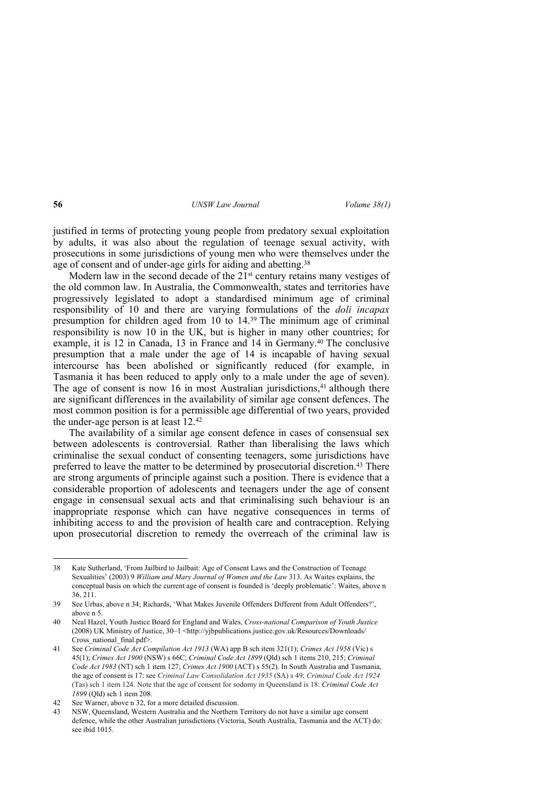justified in terms of protecting young people from predatory sexual exploitation by adults, it was also about the regulation of teenage sexual activity, with prosecutions in some jurisdictions of young men who were themselves under the age of consent and of under-age girls for aiding and abetting.<sup>38</sup>

Modern law in the second decade of the  $21<sup>st</sup>$  century retains many vestiges of the old common law. In Australia, the Commonwealth, states and territories have progressively legislated to adopt a standardised minimum age of criminal responsibility of 10 and there are varying formulations of the *doli incapax* presumption for children aged from 10 to 14.39 The minimum age of criminal responsibility is now 10 in the UK, but is higher in many other countries; for example, it is 12 in Canada, 13 in France and 14 in Germany.40 The conclusive presumption that a male under the age of 14 is incapable of having sexual intercourse has been abolished or significantly reduced (for example, in Tasmania it has been reduced to apply only to a male under the age of seven). The age of consent is now 16 in most Australian jurisdictions, $41$  although there are significant differences in the availability of similar age consent defences. The most common position is for a permissible age differential of two years, provided the under-age person is at least 12.<sup>42</sup>

The availability of a similar age consent defence in cases of consensual sex between adolescents is controversial. Rather than liberalising the laws which criminalise the sexual conduct of consenting teenagers, some jurisdictions have preferred to leave the matter to be determined by prosecutorial discretion.43 There are strong arguments of principle against such a position. There is evidence that a considerable proportion of adolescents and teenagers under the age of consent engage in consensual sexual acts and that criminalising such behaviour is an inappropriate response which can have negative consequences in terms of inhibiting access to and the provision of health care and contraception. Relying upon prosecutorial discretion to remedy the overreach of the criminal law is

<sup>38</sup> Kate Sutherland, 'From Jailbird to Jailbait: Age of Consent Laws and the Construction of Teenage Sexualities' (2003) 9 *William and Mary Journal of Women and the Law* 313. As Waites explains, the conceptual basis on which the current age of consent is founded is 'deeply problematic': Waites, above n 36, 211.

<sup>39</sup> See Urbas, above n 34; Richards, 'What Makes Juvenile Offenders Different from Adult Offenders?', above n 5.

<sup>40</sup> Neal Hazel, Youth Justice Board for England and Wales, *Cross-national Comparison of Youth Justice* (2008) UK Ministry of Justice, 30–1 <http://yjbpublications.justice.gov.uk/Resources/Downloads/ Cross\_national\_final.pdf>.

<sup>41</sup> See *Criminal Code Act Compilation Act 1913* (WA) app B sch item 321(1); *Crimes Act 1958* (Vic) s 45(1); *Crimes Act 1900* (NSW) s 66C; *Criminal Code Act 1899* (Qld) sch 1 items 210, 215; *Criminal Code Act 1983* (NT) sch 1 item 127; *Crimes Act 1900* (ACT) s 55(2). In South Australia and Tasmania, the age of consent is 17: see *Criminal Law Consolidation Act 1935* (SA) s 49; *Criminal Code Act 1924*  (Tas) sch 1 item 124. Note that the age of consent for sodomy in Queensland is 18: *Criminal Code Act 1899* (Qld) sch 1 item 208.

<sup>42</sup> See Warner, above n 32, for a more detailed discussion.

<sup>43</sup> NSW, Queensland, Western Australia and the Northern Territory do not have a similar age consent defence, while the other Australian jurisdictions (Victoria, South Australia, Tasmania and the ACT) do: see ibid 1015.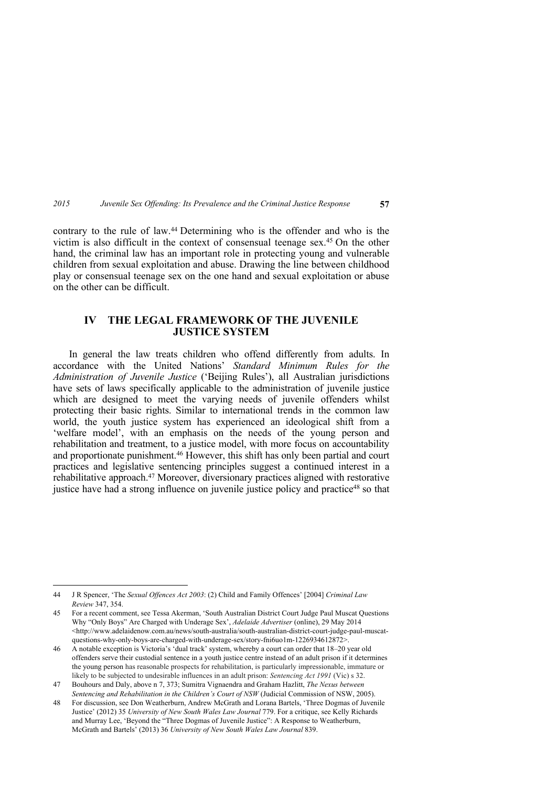contrary to the rule of law.44 Determining who is the offender and who is the victim is also difficult in the context of consensual teenage sex.45 On the other hand, the criminal law has an important role in protecting young and vulnerable children from sexual exploitation and abuse. Drawing the line between childhood play or consensual teenage sex on the one hand and sexual exploitation or abuse on the other can be difficult.

## **IV THE LEGAL FRAMEWORK OF THE JUVENILE JUSTICE SYSTEM**

In general the law treats children who offend differently from adults. In accordance with the United Nations' *Standard Minimum Rules for the Administration of Juvenile Justice* ('Beijing Rules'), all Australian jurisdictions have sets of laws specifically applicable to the administration of juvenile justice which are designed to meet the varying needs of juvenile offenders whilst protecting their basic rights. Similar to international trends in the common law world, the youth justice system has experienced an ideological shift from a 'welfare model', with an emphasis on the needs of the young person and rehabilitation and treatment, to a justice model, with more focus on accountability and proportionate punishment.46 However, this shift has only been partial and court practices and legislative sentencing principles suggest a continued interest in a rehabilitative approach.47 Moreover, diversionary practices aligned with restorative justice have had a strong influence on juvenile justice policy and practice<sup>48</sup> so that

<sup>44</sup> J R Spencer, 'The *Sexual Offences Act 2003*: (2) Child and Family Offences' [2004] *Criminal Law Review* 347, 354.

<sup>45</sup> For a recent comment, see Tessa Akerman, 'South Australian District Court Judge Paul Muscat Questions Why "Only Boys" Are Charged with Underage Sex', *Adelaide Advertiser* (online), 29 May 2014  $\langle$ http://www.adelaidenow.com.au/news/south-australia/south-australian-district-court-judge-paul-muscatquestions-why-only-boys-are-charged-with-underage-sex/story-fni6uo1m-1226934612872>.

<sup>46</sup> A notable exception is Victoria's 'dual track' system, whereby a court can order that 18–20 year old offenders serve their custodial sentence in a youth justice centre instead of an adult prison if it determines the young person has reasonable prospects for rehabilitation, is particularly impressionable, immature or likely to be subjected to undesirable influences in an adult prison: *Sentencing Act 1991* (Vic) s 32.

<sup>47</sup> Bouhours and Daly, above n 7, 373; Sumitra Vignaendra and Graham Hazlitt, *The Nexus between Sentencing and Rehabilitation in the Children's Court of NSW* (Judicial Commission of NSW, 2005).

<sup>48</sup> For discussion, see Don Weatherburn, Andrew McGrath and Lorana Bartels, 'Three Dogmas of Juvenile Justice' (2012) 35 *University of New South Wales Law Journal* 779. For a critique, see Kelly Richards and Murray Lee, 'Beyond the "Three Dogmas of Juvenile Justice": A Response to Weatherburn, McGrath and Bartels' (2013) 36 *University of New South Wales Law Journal* 839.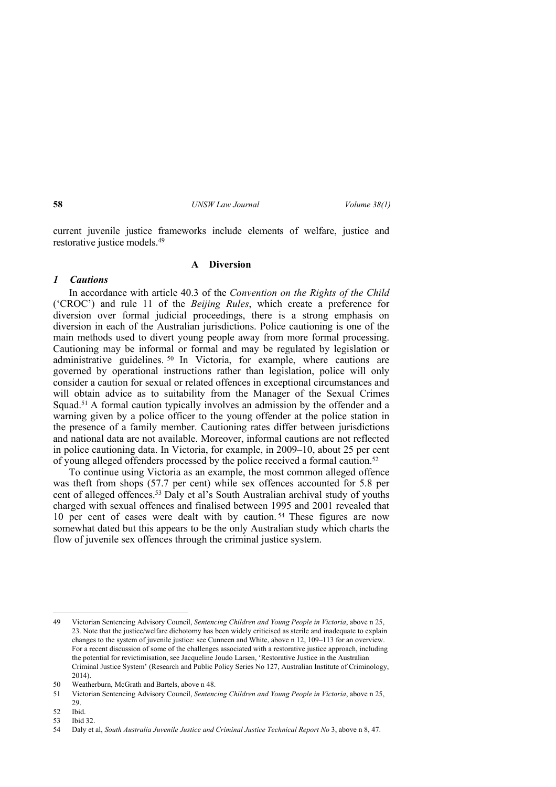current juvenile justice frameworks include elements of welfare, justice and restorative justice models.<sup>49</sup>

### **A Diversion**

### *1 Cautions*

In accordance with article 40.3 of the *Convention on the Rights of the Child* ('CROC') and rule 11 of the *Beijing Rules*, which create a preference for diversion over formal judicial proceedings, there is a strong emphasis on diversion in each of the Australian jurisdictions. Police cautioning is one of the main methods used to divert young people away from more formal processing. Cautioning may be informal or formal and may be regulated by legislation or administrative guidelines. <sup>50</sup> In Victoria, for example, where cautions are governed by operational instructions rather than legislation, police will only consider a caution for sexual or related offences in exceptional circumstances and will obtain advice as to suitability from the Manager of the Sexual Crimes Squad.<sup>51</sup> A formal caution typically involves an admission by the offender and a warning given by a police officer to the young offender at the police station in the presence of a family member. Cautioning rates differ between jurisdictions and national data are not available. Moreover, informal cautions are not reflected in police cautioning data. In Victoria, for example, in 2009–10, about 25 per cent of young alleged offenders processed by the police received a formal caution.<sup>52</sup>

To continue using Victoria as an example, the most common alleged offence was theft from shops (57.7 per cent) while sex offences accounted for 5.8 per cent of alleged offences.53 Daly et al's South Australian archival study of youths charged with sexual offences and finalised between 1995 and 2001 revealed that 10 per cent of cases were dealt with by caution. <sup>54</sup> These figures are now somewhat dated but this appears to be the only Australian study which charts the flow of juvenile sex offences through the criminal justice system.

<sup>49</sup> Victorian Sentencing Advisory Council, *Sentencing Children and Young People in Victoria*, above n 25, 23. Note that the justice/welfare dichotomy has been widely criticised as sterile and inadequate to explain changes to the system of juvenile justice: see Cunneen and White, above n 12, 109–113 for an overview. For a recent discussion of some of the challenges associated with a restorative justice approach, including the potential for revictimisation, see Jacqueline Joudo Larsen, 'Restorative Justice in the Australian Criminal Justice System' (Research and Public Policy Series No 127, Australian Institute of Criminology, 2014).

<sup>50</sup> Weatherburn, McGrath and Bartels, above n 48.

<sup>51</sup> Victorian Sentencing Advisory Council, *Sentencing Children and Young People in Victoria*, above n 25, 29.

<sup>52</sup> Ibid.

<sup>53</sup> Ibid 32.

<sup>54</sup> Daly et al, *South Australia Juvenile Justice and Criminal Justice Technical Report No* 3, above n 8, 47.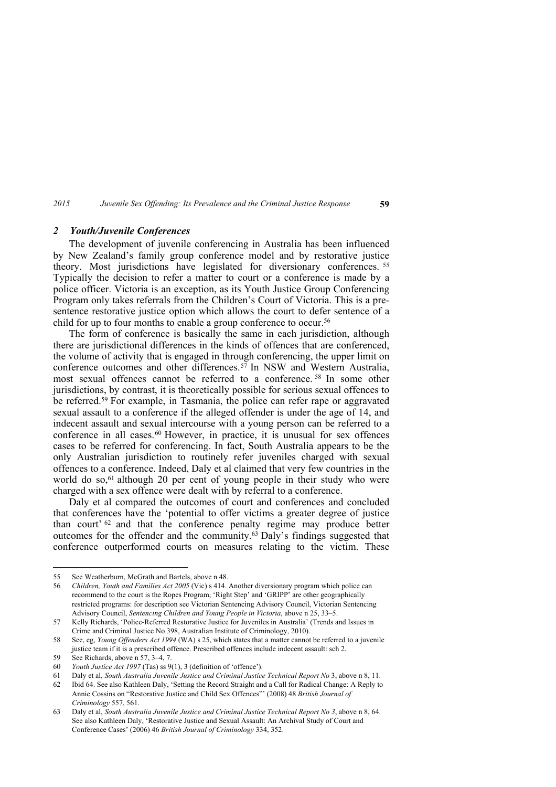#### *2 Youth/Juvenile Conferences*

The development of juvenile conferencing in Australia has been influenced by New Zealand's family group conference model and by restorative justice theory. Most jurisdictions have legislated for diversionary conferences. <sup>55</sup> Typically the decision to refer a matter to court or a conference is made by a police officer. Victoria is an exception, as its Youth Justice Group Conferencing Program only takes referrals from the Children's Court of Victoria. This is a presentence restorative justice option which allows the court to defer sentence of a child for up to four months to enable a group conference to occur.<sup>56</sup>

The form of conference is basically the same in each jurisdiction, although there are jurisdictional differences in the kinds of offences that are conferenced, the volume of activity that is engaged in through conferencing, the upper limit on conference outcomes and other differences.57 In NSW and Western Australia, most sexual offences cannot be referred to a conference. <sup>58</sup> In some other jurisdictions, by contrast, it is theoretically possible for serious sexual offences to be referred.59 For example, in Tasmania, the police can refer rape or aggravated sexual assault to a conference if the alleged offender is under the age of 14, and indecent assault and sexual intercourse with a young person can be referred to a conference in all cases.<sup>60</sup> However, in practice, it is unusual for sex offences cases to be referred for conferencing. In fact, South Australia appears to be the only Australian jurisdiction to routinely refer juveniles charged with sexual offences to a conference. Indeed, Daly et al claimed that very few countries in the world do so,<sup>61</sup> although 20 per cent of young people in their study who were charged with a sex offence were dealt with by referral to a conference.

Daly et al compared the outcomes of court and conferences and concluded that conferences have the 'potential to offer victims a greater degree of justice than court' <sup>62</sup> and that the conference penalty regime may produce better outcomes for the offender and the community.<sup> $63$ </sup> Daly's findings suggested that conference outperformed courts on measures relating to the victim. These

<sup>55</sup> See Weatherburn, McGrath and Bartels, above n 48.

<sup>56</sup> *Children, Youth and Families Act 2005* (Vic) s 414. Another diversionary program which police can recommend to the court is the Ropes Program; 'Right Step' and 'GRIPP' are other geographically restricted programs: for description see Victorian Sentencing Advisory Council, Victorian Sentencing Advisory Council, *Sentencing Children and Young People in Victoria*, above n 25, 33–5.

<sup>57</sup> Kelly Richards, 'Police-Referred Restorative Justice for Juveniles in Australia' (Trends and Issues in Crime and Criminal Justice No 398, Australian Institute of Criminology, 2010).

<sup>58</sup> See, eg, *Young Offenders Act 1994* (WA) s 25, which states that a matter cannot be referred to a juvenile justice team if it is a prescribed offence. Prescribed offences include indecent assault: sch 2.

<sup>59</sup> See Richards, above n 57, 3–4, 7.

<sup>60</sup> *Youth Justice Act 1997* (Tas) ss 9(1), 3 (definition of 'offence').

<sup>61</sup> Daly et al, *South Australia Juvenile Justice and Criminal Justice Technical Report No* 3, above n 8, 11.

<sup>62</sup> Ibid 64. See also Kathleen Daly, 'Setting the Record Straight and a Call for Radical Change: A Reply to Annie Cossins on "Restorative Justice and Child Sex Offences"' (2008) 48 *British Journal of Criminology* 557, 561.

<sup>63</sup> Daly et al, *South Australia Juvenile Justice and Criminal Justice Technical Report No 3*, above n 8, 64. See also Kathleen Daly, 'Restorative Justice and Sexual Assault: An Archival Study of Court and Conference Cases' (2006) 46 *British Journal of Criminology* 334, 352.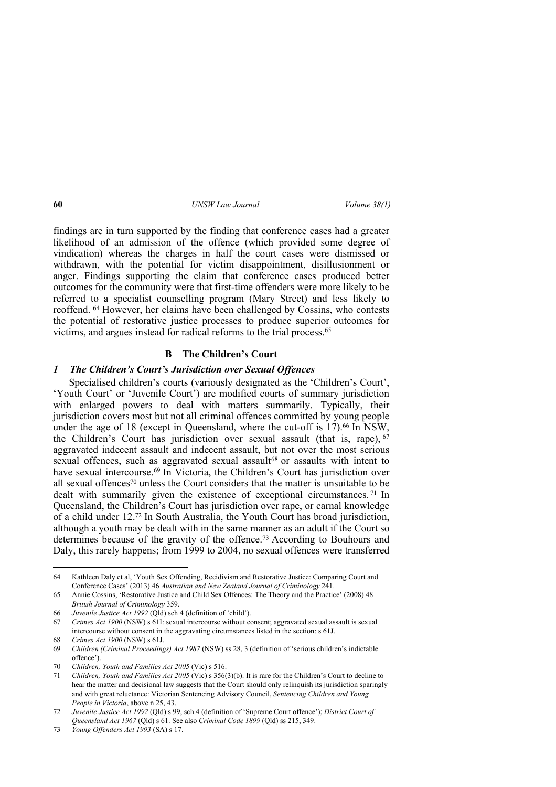findings are in turn supported by the finding that conference cases had a greater likelihood of an admission of the offence (which provided some degree of vindication) whereas the charges in half the court cases were dismissed or withdrawn, with the potential for victim disappointment, disillusionment or anger. Findings supporting the claim that conference cases produced better outcomes for the community were that first-time offenders were more likely to be referred to a specialist counselling program (Mary Street) and less likely to reoffend. 64 However, her claims have been challenged by Cossins, who contests the potential of restorative justice processes to produce superior outcomes for victims, and argues instead for radical reforms to the trial process.<sup>65</sup>

### **B The Children's Court**

## *1 The Children's Court's Jurisdiction over Sexual Offences*

Specialised children's courts (variously designated as the 'Children's Court', 'Youth Court' or 'Juvenile Court') are modified courts of summary jurisdiction with enlarged powers to deal with matters summarily. Typically, their jurisdiction covers most but not all criminal offences committed by young people under the age of 18 (except in Queensland, where the cut-off is  $17$ ).<sup>66</sup> In NSW, the Children's Court has jurisdiction over sexual assault (that is, rape), <sup>67</sup> aggravated indecent assault and indecent assault, but not over the most serious sexual offences, such as aggravated sexual assault<sup>68</sup> or assaults with intent to have sexual intercourse.<sup>69</sup> In Victoria, the Children's Court has jurisdiction over all sexual offences70 unless the Court considers that the matter is unsuitable to be dealt with summarily given the existence of exceptional circumstances. <sup>71</sup> In Queensland, the Children's Court has jurisdiction over rape, or carnal knowledge of a child under 12.72 In South Australia, the Youth Court has broad jurisdiction, although a youth may be dealt with in the same manner as an adult if the Court so determines because of the gravity of the offence.73 According to Bouhours and Daly, this rarely happens; from 1999 to 2004, no sexual offences were transferred

<sup>64</sup> Kathleen Daly et al, 'Youth Sex Offending, Recidivism and Restorative Justice: Comparing Court and Conference Cases' (2013) 46 *Australian and New Zealand Journal of Criminology* 241.

<sup>65</sup> Annie Cossins, 'Restorative Justice and Child Sex Offences: The Theory and the Practice' (2008) 48 *British Journal of Criminology* 359.

<sup>66</sup> *Juvenile Justice Act 1992* (Qld) sch 4 (definition of 'child').

<sup>67</sup> *Crimes Act 1900* (NSW) s 61I: sexual intercourse without consent; aggravated sexual assault is sexual intercourse without consent in the aggravating circumstances listed in the section: s 61J.

<sup>68</sup> *Crimes Act 1900* (NSW) s 61J.

<sup>69</sup> *Children (Criminal Proceedings) Act 1987* (NSW) ss 28, 3 (definition of 'serious children's indictable offence').

<sup>70</sup> *Children, Youth and Families Act 2005* (Vic) s 516.

<sup>71</sup> *Children, Youth and Families Act 2005* (Vic) s 356(3)(b). It is rare for the Children's Court to decline to hear the matter and decisional law suggests that the Court should only relinquish its jurisdiction sparingly and with great reluctance: Victorian Sentencing Advisory Council, *Sentencing Children and Young People in Victoria*, above n 25, 43.

<sup>72</sup> *Juvenile Justice Act 1992* (Qld) s 99, sch 4 (definition of 'Supreme Court offence'); *District Court of Queensland Act 1967* (Qld) s 61. See also *Criminal Code 1899* (Qld) ss 215, 349.

<sup>73</sup> *Young Offenders Act 1993* (SA) s 17.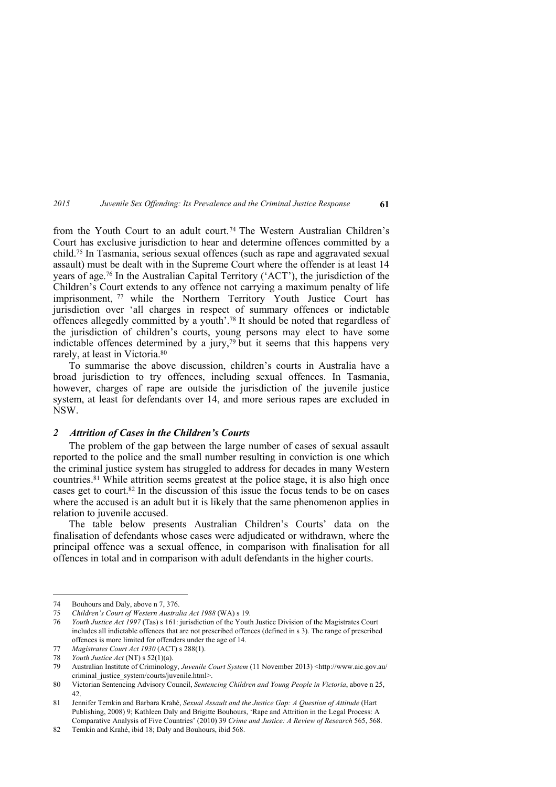from the Youth Court to an adult court.74 The Western Australian Children's Court has exclusive jurisdiction to hear and determine offences committed by a child.75 In Tasmania, serious sexual offences (such as rape and aggravated sexual assault) must be dealt with in the Supreme Court where the offender is at least 14 years of age.76 In the Australian Capital Territory ('ACT'), the jurisdiction of the Children's Court extends to any offence not carrying a maximum penalty of life imprisonment, 77 while the Northern Territory Youth Justice Court has jurisdiction over 'all charges in respect of summary offences or indictable offences allegedly committed by a youth'.78 It should be noted that regardless of the jurisdiction of children's courts, young persons may elect to have some indictable offences determined by a jury,79 but it seems that this happens very rarely, at least in Victoria.<sup>80</sup>

To summarise the above discussion, children's courts in Australia have a broad jurisdiction to try offences, including sexual offences. In Tasmania, however, charges of rape are outside the jurisdiction of the juvenile justice system, at least for defendants over 14, and more serious rapes are excluded in NSW.

## *2 Attrition of Cases in the Children's Courts*

The problem of the gap between the large number of cases of sexual assault reported to the police and the small number resulting in conviction is one which the criminal justice system has struggled to address for decades in many Western countries.81 While attrition seems greatest at the police stage, it is also high once cases get to court.82 In the discussion of this issue the focus tends to be on cases where the accused is an adult but it is likely that the same phenomenon applies in relation to juvenile accused.

The table below presents Australian Children's Courts' data on the finalisation of defendants whose cases were adjudicated or withdrawn, where the principal offence was a sexual offence, in comparison with finalisation for all offences in total and in comparison with adult defendants in the higher courts.

<sup>74</sup> Bouhours and Daly, above n 7, 376.

<sup>75</sup> *Children's Court of Western Australia Act 1988* (WA) s 19.

<sup>76</sup> *Youth Justice Act 1997* (Tas) s 161: jurisdiction of the Youth Justice Division of the Magistrates Court includes all indictable offences that are not prescribed offences (defined in s 3). The range of prescribed offences is more limited for offenders under the age of 14.

<sup>77</sup> *Magistrates Court Act 1930* (ACT) s 288(1).

<sup>78</sup> *Youth Justice Act* (NT) s 52(1)(a).

<sup>79</sup> Australian Institute of Criminology, *Juvenile Court System* (11 November 2013) <http://www.aic.gov.au/ criminal\_justice\_system/courts/juvenile.html>.

<sup>80</sup> Victorian Sentencing Advisory Council, *Sentencing Children and Young People in Victoria*, above n 25, 42.

<sup>81</sup> Jennifer Temkin and Barbara Krahé, *Sexual Assault and the Justice Gap: A Question of Attitude* (Hart Publishing, 2008) 9; Kathleen Daly and Brigitte Bouhours, 'Rape and Attrition in the Legal Process: A Comparative Analysis of Five Countries' (2010) 39 *Crime and Justice: A Review of Research* 565, 568.

<sup>82</sup> Temkin and Krahé, ibid 18; Daly and Bouhours, ibid 568.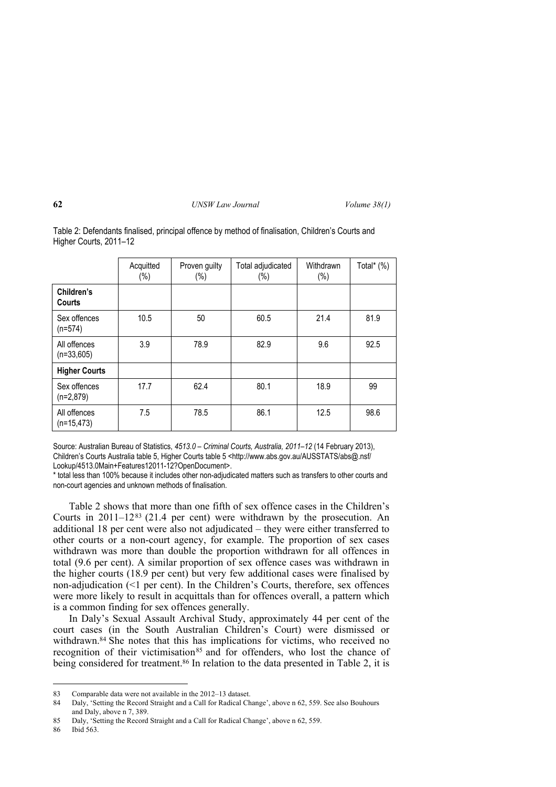|                              | Acquitted<br>$(\%)$ | Proven guilty<br>$(\%)$ | Total adjudicated<br>$(\%)$ | Withdrawn<br>$(\%)$ | Total* (%) |
|------------------------------|---------------------|-------------------------|-----------------------------|---------------------|------------|
| Children's<br>Courts         |                     |                         |                             |                     |            |
| Sex offences<br>$(n=574)$    | 10.5                | 50                      | 60.5                        | 21.4                | 81.9       |
| All offences<br>$(n=33,605)$ | 3.9                 | 78.9                    | 82.9                        | 9.6                 | 92.5       |
| <b>Higher Courts</b>         |                     |                         |                             |                     |            |
| Sex offences<br>$(n=2,879)$  | 17.7                | 62.4                    | 80.1                        | 18.9                | 99         |
| All offences<br>$(n=15,473)$ | 7.5                 | 78.5                    | 86.1                        | 12.5                | 98.6       |

Table 2: Defendants finalised, principal offence by method of finalisation, Children's Courts and Higher Courts, 2011–12

Source: Australian Bureau of Statistics, *4513.0 – Criminal Courts, Australia, 2011–12* (14 February 2013), Children's Courts Australia table 5, Higher Courts table 5 <http://www.abs.gov.au/AUSSTATS/abs@.nsf/ Lookup/4513.0Main+Features12011-12?OpenDocument>.

\* total less than 100% because it includes other non-adjudicated matters such as transfers to other courts and non-court agencies and unknown methods of finalisation.

Table 2 shows that more than one fifth of sex offence cases in the Children's Courts in 2011–1283 (21.4 per cent) were withdrawn by the prosecution. An additional 18 per cent were also not adjudicated – they were either transferred to other courts or a non-court agency, for example. The proportion of sex cases withdrawn was more than double the proportion withdrawn for all offences in total (9.6 per cent). A similar proportion of sex offence cases was withdrawn in the higher courts (18.9 per cent) but very few additional cases were finalised by non-adjudication  $($   $\leq 1$  per cent). In the Children's Courts, therefore, sex offences were more likely to result in acquittals than for offences overall, a pattern which is a common finding for sex offences generally.

In Daly's Sexual Assault Archival Study, approximately 44 per cent of the court cases (in the South Australian Children's Court) were dismissed or withdrawn.<sup>84</sup> She notes that this has implications for victims, who received no recognition of their victimisation<sup>85</sup> and for offenders, who lost the chance of being considered for treatment.<sup>86</sup> In relation to the data presented in Table 2, it is

<sup>83</sup> Comparable data were not available in the 2012–13 dataset.

<sup>84</sup> Daly, 'Setting the Record Straight and a Call for Radical Change', above n 62, 559. See also Bouhours and Daly, above n 7, 389.

<sup>85</sup> Daly, 'Setting the Record Straight and a Call for Radical Change', above n 62, 559.

<sup>86</sup> Ibid 563.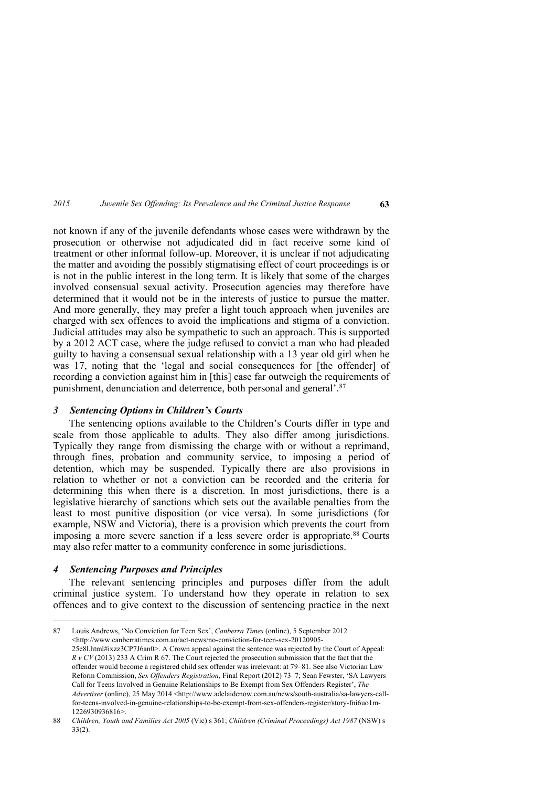not known if any of the juvenile defendants whose cases were withdrawn by the prosecution or otherwise not adjudicated did in fact receive some kind of treatment or other informal follow-up. Moreover, it is unclear if not adjudicating the matter and avoiding the possibly stigmatising effect of court proceedings is or is not in the public interest in the long term. It is likely that some of the charges involved consensual sexual activity. Prosecution agencies may therefore have determined that it would not be in the interests of justice to pursue the matter. And more generally, they may prefer a light touch approach when juveniles are charged with sex offences to avoid the implications and stigma of a conviction. Judicial attitudes may also be sympathetic to such an approach. This is supported by a 2012 ACT case, where the judge refused to convict a man who had pleaded guilty to having a consensual sexual relationship with a 13 year old girl when he was 17, noting that the 'legal and social consequences for [the offender] of recording a conviction against him in [this] case far outweigh the requirements of punishment, denunciation and deterrence, both personal and general<sup>2</sup>.<sup>87</sup>

## *3 Sentencing Options in Children's Courts*

The sentencing options available to the Children's Courts differ in type and scale from those applicable to adults. They also differ among jurisdictions. Typically they range from dismissing the charge with or without a reprimand, through fines, probation and community service, to imposing a period of detention, which may be suspended. Typically there are also provisions in relation to whether or not a conviction can be recorded and the criteria for determining this when there is a discretion. In most jurisdictions, there is a legislative hierarchy of sanctions which sets out the available penalties from the least to most punitive disposition (or vice versa). In some jurisdictions (for example, NSW and Victoria), there is a provision which prevents the court from imposing a more severe sanction if a less severe order is appropriate.88 Courts may also refer matter to a community conference in some jurisdictions.

# *4 Sentencing Purposes and Principles*

-

The relevant sentencing principles and purposes differ from the adult criminal justice system. To understand how they operate in relation to sex offences and to give context to the discussion of sentencing practice in the next

<sup>87</sup> Louis Andrews, 'No Conviction for Teen Sex', *Canberra Times* (online), 5 September 2012 <http://www.canberratimes.com.au/act-news/no-conviction-for-teen-sex-20120905- 25e8l.html#ixzz3CP7J6an0>. A Crown appeal against the sentence was rejected by the Court of Appeal: *R v CV* (2013) 233 A Crim R 67. The Court rejected the prosecution submission that the fact that the offender would become a registered child sex offender was irrelevant: at 79–81. See also Victorian Law Reform Commission, *Sex Offenders Registration*, Final Report (2012) 73–7; Sean Fewster, 'SA Lawyers Call for Teens Involved in Genuine Relationships to Be Exempt from Sex Offenders Register', *The Advertiser* (online), 25 May 2014 <http://www.adelaidenow.com.au/news/south-australia/sa-lawyers-callfor-teens-involved-in-genuine-relationships-to-be-exempt-from-sex-offenders-register/story-fni6uo1m-1226930936816>.

<sup>88</sup> *Children, Youth and Families Act 2005* (Vic) s 361; *Children (Criminal Proceedings) Act 1987* (NSW) s 33(2).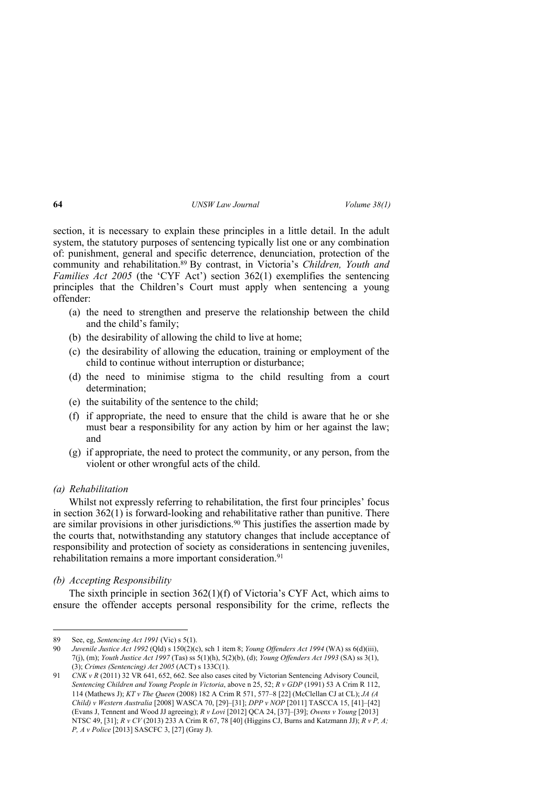section, it is necessary to explain these principles in a little detail. In the adult system, the statutory purposes of sentencing typically list one or any combination of: punishment, general and specific deterrence, denunciation, protection of the community and rehabilitation.89 By contrast, in Victoria's *Children, Youth and Families Act 2005* (the 'CYF Act') section 362(1) exemplifies the sentencing principles that the Children's Court must apply when sentencing a young offender:

- (a) the need to strengthen and preserve the relationship between the child and the child's family;
- (b) the desirability of allowing the child to live at home;
- (c) the desirability of allowing the education, training or employment of the child to continue without interruption or disturbance;
- (d) the need to minimise stigma to the child resulting from a court determination;
- (e) the suitability of the sentence to the child;
- (f) if appropriate, the need to ensure that the child is aware that he or she must bear a responsibility for any action by him or her against the law; and
- (g) if appropriate, the need to protect the community, or any person, from the violent or other wrongful acts of the child.

### *(a) Rehabilitation*

<u>.</u>

Whilst not expressly referring to rehabilitation, the first four principles' focus in section  $362(1)$  is forward-looking and rehabilitative rather than punitive. There are similar provisions in other jurisdictions.90 This justifies the assertion made by the courts that, notwithstanding any statutory changes that include acceptance of responsibility and protection of society as considerations in sentencing juveniles, rehabilitation remains a more important consideration.<sup>91</sup>

### *(b) Accepting Responsibility*

The sixth principle in section 362(1)(f) of Victoria's CYF Act, which aims to ensure the offender accepts personal responsibility for the crime, reflects the

<sup>89</sup> See, eg, *Sentencing Act 1991* (Vic) s 5(1).

<sup>90</sup> *Juvenile Justice Act 1992* (Qld) s 150(2)(c), sch 1 item 8; *Young Offenders Act 1994* (WA) ss 6(d)(iii), 7(j), (m); *Youth Justice Act 1997* (Tas) ss 5(1)(h), 5(2)(b), (d); *Young Offenders Act 1993* (SA) ss 3(1), (3); *Crimes (Sentencing) Act 2005* (ACT) s 133C(1).

<sup>91</sup> *CNK v R* (2011) 32 VR 641, 652, 662. See also cases cited by Victorian Sentencing Advisory Council, *Sentencing Children and Young People in Victoria*, above n 25, 52; *R v GDP* (1991) 53 A Crim R 112, 114 (Mathews J); *KT v The Queen* (2008) 182 A Crim R 571, 577–8 [22] (McClellan CJ at CL); *JA (A Child) v Western Australia* [2008] WASCA 70, [29]–[31]; *DPP v NOP* [2011] TASCCA 15, [41]–[42] (Evans J, Tennent and Wood JJ agreeing); *R v Lovi* [2012] QCA 24, [37]–[39]; *Owens v Young* [2013] NTSC 49, [31]; *R v CV* (2013) 233 A Crim R 67, 78 [40] (Higgins CJ, Burns and Katzmann JJ); *R v P, A; P, A v Police* [2013] SASCFC 3, [27] (Gray J).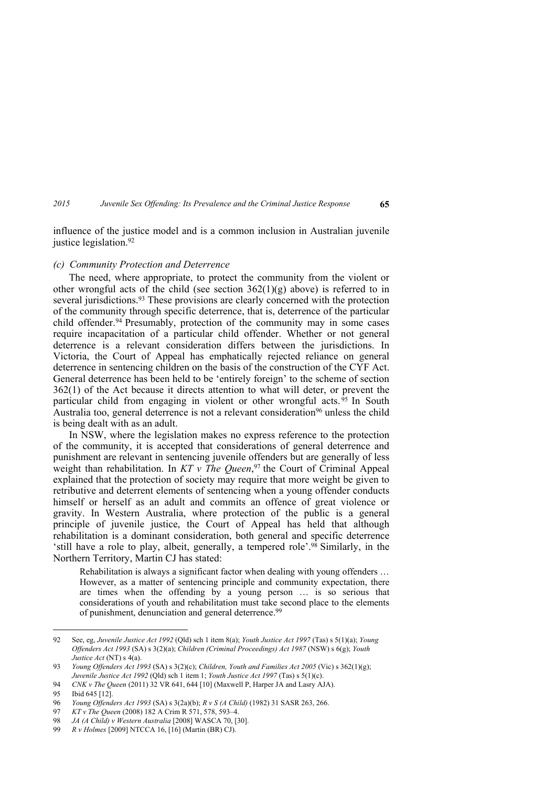influence of the justice model and is a common inclusion in Australian juvenile justice legislation.<sup>92</sup>

### *(c) Community Protection and Deterrence*

The need, where appropriate, to protect the community from the violent or other wrongful acts of the child (see section  $362(1)(g)$  above) is referred to in several jurisdictions.<sup>93</sup> These provisions are clearly concerned with the protection of the community through specific deterrence, that is, deterrence of the particular child offender.94 Presumably, protection of the community may in some cases require incapacitation of a particular child offender. Whether or not general deterrence is a relevant consideration differs between the jurisdictions. In Victoria, the Court of Appeal has emphatically rejected reliance on general deterrence in sentencing children on the basis of the construction of the CYF Act. General deterrence has been held to be 'entirely foreign' to the scheme of section 362(1) of the Act because it directs attention to what will deter, or prevent the particular child from engaging in violent or other wrongful acts.  $\frac{95}{95}$  In South Australia too, general deterrence is not a relevant consideration<sup>96</sup> unless the child is being dealt with as an adult.

In NSW, where the legislation makes no express reference to the protection of the community, it is accepted that considerations of general deterrence and punishment are relevant in sentencing juvenile offenders but are generally of less weight than rehabilitation. In *KT v The Queen*, <sup>97</sup> the Court of Criminal Appeal explained that the protection of society may require that more weight be given to retributive and deterrent elements of sentencing when a young offender conducts himself or herself as an adult and commits an offence of great violence or gravity. In Western Australia, where protection of the public is a general principle of juvenile justice, the Court of Appeal has held that although rehabilitation is a dominant consideration, both general and specific deterrence 'still have a role to play, albeit, generally, a tempered role'.98 Similarly, in the Northern Territory, Martin CJ has stated:

Rehabilitation is always a significant factor when dealing with young offenders … However, as a matter of sentencing principle and community expectation, there are times when the offending by a young person … is so serious that considerations of youth and rehabilitation must take second place to the elements of punishment, denunciation and general deterrence.<sup>99</sup>

<sup>92</sup> See, eg, *Juvenile Justice Act 1992* (Qld) sch 1 item 8(a); *Youth Justice Act 1997* (Tas) s 5(1)(a); *Young Offenders Act 1993* (SA) s 3(2)(a); *Children (Criminal Proceedings) Act 1987* (NSW) s 6(g); *Youth Justice Act* (NT) s 4(a).

<sup>93</sup> *Young Offenders Act 1993* (SA) s 3(2)(c); *Children, Youth and Families Act 2005* (Vic) s 362(1)(g); *Juvenile Justice Act 1992* (Qld) sch 1 item 1; *Youth Justice Act 1997* (Tas) s 5(1)(c).

<sup>94</sup> *CNK v The Queen* (2011) 32 VR 641, 644 [10] (Maxwell P, Harper JA and Lasry AJA).

<sup>95</sup> Ibid 645 [12].

<sup>96</sup> *Young Offenders Act 1993* (SA) s 3(2a)(b); *R v S (A Child)* (1982) 31 SASR 263, 266.

<sup>97</sup> *KT v The Queen* (2008) 182 A Crim R 571, 578, 593–4.

<sup>98</sup> *JA (A Child) v Western Australia* [2008] WASCA 70, [30].

<sup>99</sup> *R v Holmes* [2009] NTCCA 16, [16] (Martin (BR) CJ).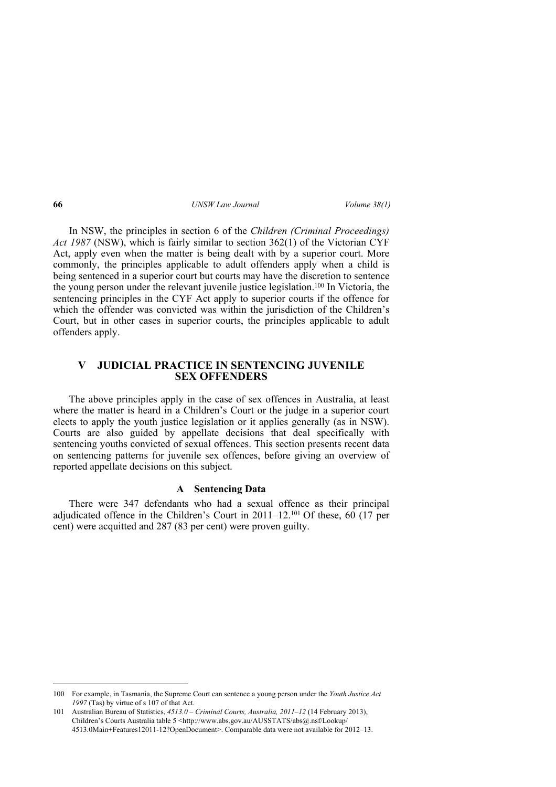In NSW, the principles in section 6 of the *Children (Criminal Proceedings) Act 1987* (NSW), which is fairly similar to section 362(1) of the Victorian CYF Act, apply even when the matter is being dealt with by a superior court. More commonly, the principles applicable to adult offenders apply when a child is being sentenced in a superior court but courts may have the discretion to sentence the young person under the relevant juvenile justice legislation.100 In Victoria, the sentencing principles in the CYF Act apply to superior courts if the offence for which the offender was convicted was within the jurisdiction of the Children's Court, but in other cases in superior courts, the principles applicable to adult offenders apply.

# **V JUDICIAL PRACTICE IN SENTENCING JUVENILE SEX OFFENDERS**

The above principles apply in the case of sex offences in Australia, at least where the matter is heard in a Children's Court or the judge in a superior court elects to apply the youth justice legislation or it applies generally (as in NSW). Courts are also guided by appellate decisions that deal specifically with sentencing youths convicted of sexual offences. This section presents recent data on sentencing patterns for juvenile sex offences, before giving an overview of reported appellate decisions on this subject.

## **A Sentencing Data**

There were 347 defendants who had a sexual offence as their principal adjudicated offence in the Children's Court in 2011–12.<sup>101</sup> Of these,  $60$  (17 per cent) were acquitted and 287 (83 per cent) were proven guilty.

<sup>100</sup> For example, in Tasmania, the Supreme Court can sentence a young person under the *Youth Justice Act 1997* (Tas) by virtue of s 107 of that Act.

<sup>101</sup> Australian Bureau of Statistics, *4513.0 – Criminal Courts, Australia, 2011–12* (14 February 2013), Children's Courts Australia table 5 <http://www.abs.gov.au/AUSSTATS/abs@.nsf/Lookup/ 4513.0Main+Features12011-12?OpenDocument>. Comparable data were not available for 2012–13.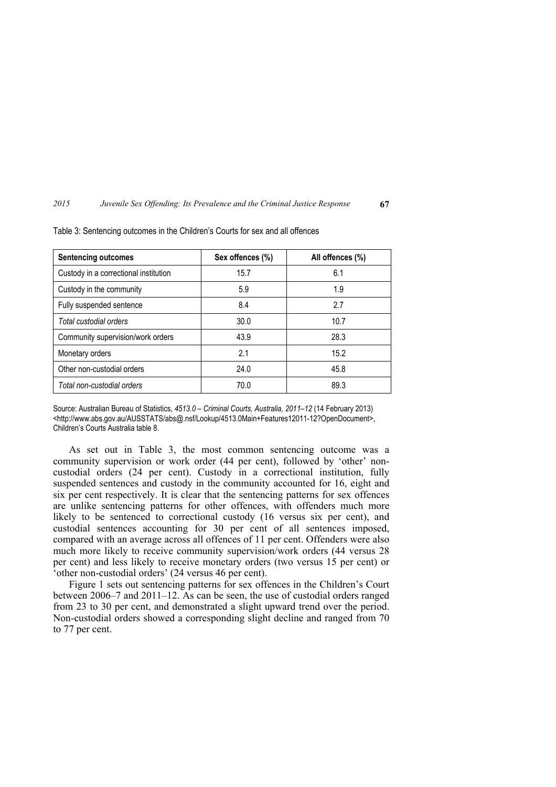| <b>Sentencing outcomes</b>            | Sex offences (%) | All offences (%) |  |
|---------------------------------------|------------------|------------------|--|
| Custody in a correctional institution | 15.7             | 6.1              |  |
| Custody in the community              | 5.9              | 1.9              |  |
| Fully suspended sentence              | 8.4              | 2.7              |  |
| Total custodial orders                | 30.0             | 10.7             |  |
| Community supervision/work orders     | 43.9             | 28.3             |  |
| Monetary orders                       | 2.1              | 15.2             |  |
| Other non-custodial orders            | 24.0             | 45.8             |  |
| Total non-custodial orders            | 70.0             | 89.3             |  |

Table 3: Sentencing outcomes in the Children's Courts for sex and all offences

Source: Australian Bureau of Statistics, *4513.0 – Criminal Courts, Australia, 2011–12* (14 February 2013) <http://www.abs.gov.au/AUSSTATS/abs@.nsf/Lookup/4513.0Main+Features12011-12?OpenDocument>, Children's Courts Australia table 8.

As set out in Table 3, the most common sentencing outcome was a community supervision or work order (44 per cent), followed by 'other' noncustodial orders (24 per cent). Custody in a correctional institution, fully suspended sentences and custody in the community accounted for 16, eight and six per cent respectively. It is clear that the sentencing patterns for sex offences are unlike sentencing patterns for other offences, with offenders much more likely to be sentenced to correctional custody (16 versus six per cent), and custodial sentences accounting for 30 per cent of all sentences imposed, compared with an average across all offences of 11 per cent. Offenders were also much more likely to receive community supervision/work orders (44 versus 28 per cent) and less likely to receive monetary orders (two versus 15 per cent) or 'other non-custodial orders' (24 versus 46 per cent).

Figure 1 sets out sentencing patterns for sex offences in the Children's Court between 2006–7 and 2011–12. As can be seen, the use of custodial orders ranged from 23 to 30 per cent, and demonstrated a slight upward trend over the period. Non-custodial orders showed a corresponding slight decline and ranged from 70 to 77 per cent.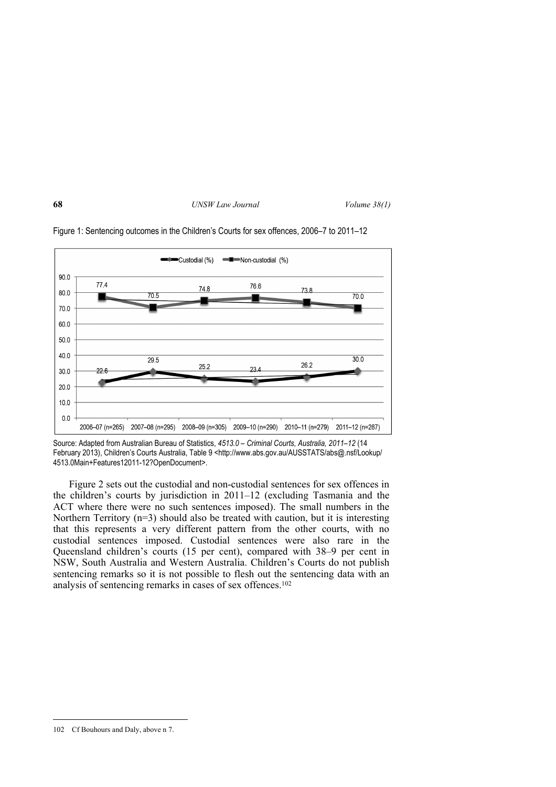

Figure 1: Sentencing outcomes in the Children's Courts for sex offences, 2006–7 to 2011–12

Figure 2 sets out the custodial and non-custodial sentences for sex offences in the children's courts by jurisdiction in 2011–12 (excluding Tasmania and the ACT where there were no such sentences imposed). The small numbers in the Northern Territory (n=3) should also be treated with caution, but it is interesting that this represents a very different pattern from the other courts, with no custodial sentences imposed. Custodial sentences were also rare in the Queensland children's courts (15 per cent), compared with 38–9 per cent in NSW, South Australia and Western Australia. Children's Courts do not publish sentencing remarks so it is not possible to flesh out the sentencing data with an analysis of sentencing remarks in cases of sex offences.<sup>102</sup>

Source: Adapted from Australian Bureau of Statistics, *4513.0 – Criminal Courts, Australia, 2011–12* (14 February 2013), Children's Courts Australia, Table 9 <http://www.abs.gov.au/AUSSTATS/abs@.nsf/Lookup/ 4513.0Main+Features12011-12?OpenDocument>.

<sup>102</sup> Cf Bouhours and Daly, above n 7.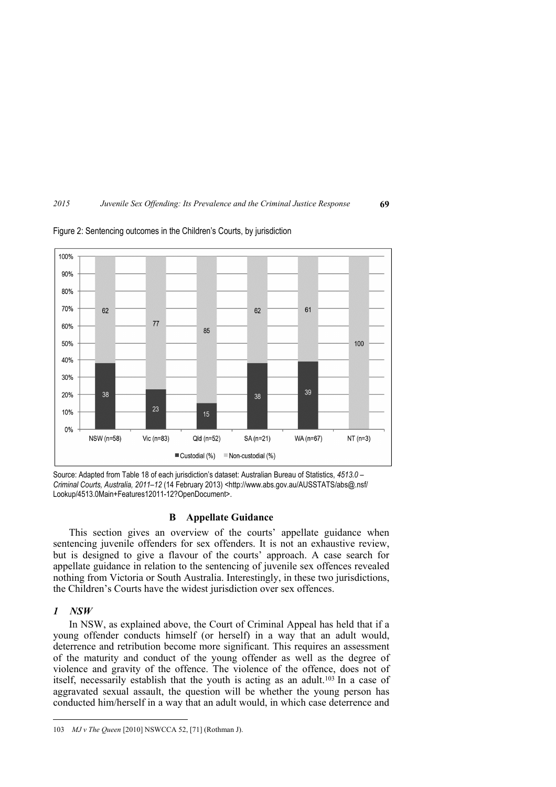

Figure 2: Sentencing outcomes in the Children's Courts, by jurisdiction



## **B Appellate Guidance**

This section gives an overview of the courts' appellate guidance when sentencing juvenile offenders for sex offenders. It is not an exhaustive review, but is designed to give a flavour of the courts' approach. A case search for appellate guidance in relation to the sentencing of juvenile sex offences revealed nothing from Victoria or South Australia. Interestingly, in these two jurisdictions, the Children's Courts have the widest jurisdiction over sex offences.

### *1 NSW*

<u>.</u>

In NSW, as explained above, the Court of Criminal Appeal has held that if a young offender conducts himself (or herself) in a way that an adult would, deterrence and retribution become more significant. This requires an assessment of the maturity and conduct of the young offender as well as the degree of violence and gravity of the offence. The violence of the offence, does not of itself, necessarily establish that the youth is acting as an adult.103 In a case of aggravated sexual assault, the question will be whether the young person has conducted him/herself in a way that an adult would, in which case deterrence and

<sup>103</sup> *MJ v The Queen* [2010] NSWCCA 52, [71] (Rothman J).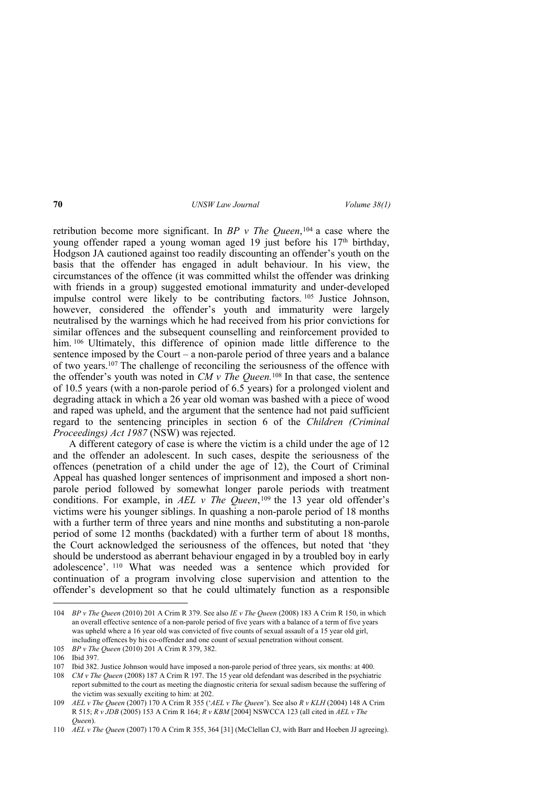retribution become more significant. In *BP v The Queen*, <sup>104</sup> a case where the young offender raped a young woman aged 19 just before his 17<sup>th</sup> birthday. Hodgson JA cautioned against too readily discounting an offender's youth on the basis that the offender has engaged in adult behaviour. In his view, the circumstances of the offence (it was committed whilst the offender was drinking with friends in a group) suggested emotional immaturity and under-developed impulse control were likely to be contributing factors. <sup>105</sup> Justice Johnson, however, considered the offender's youth and immaturity were largely neutralised by the warnings which he had received from his prior convictions for similar offences and the subsequent counselling and reinforcement provided to him. <sup>106</sup> Ultimately, this difference of opinion made little difference to the sentence imposed by the Court – a non-parole period of three years and a balance of two years.107 The challenge of reconciling the seriousness of the offence with the offender's youth was noted in *CM v The Queen.*<sup>108</sup> In that case, the sentence of 10.5 years (with a non-parole period of  $6.5$  years) for a prolonged violent and degrading attack in which a 26 year old woman was bashed with a piece of wood and raped was upheld, and the argument that the sentence had not paid sufficient regard to the sentencing principles in section 6 of the *Children (Criminal Proceedings) Act 1987* (NSW) was rejected.

A different category of case is where the victim is a child under the age of 12 and the offender an adolescent. In such cases, despite the seriousness of the offences (penetration of a child under the age of 12), the Court of Criminal Appeal has quashed longer sentences of imprisonment and imposed a short nonparole period followed by somewhat longer parole periods with treatment conditions. For example, in *AEL v The Queen*, <sup>109</sup> the 13 year old offender's victims were his younger siblings. In quashing a non-parole period of 18 months with a further term of three years and nine months and substituting a non-parole period of some 12 months (backdated) with a further term of about 18 months, the Court acknowledged the seriousness of the offences, but noted that 'they should be understood as aberrant behaviour engaged in by a troubled boy in early adolescence'. <sup>110</sup> What was needed was a sentence which provided for continuation of a program involving close supervision and attention to the offender's development so that he could ultimately function as a responsible

<sup>104</sup> *BP v The Queen* (2010) 201 A Crim R 379. See also *IE v The Queen* (2008) 183 A Crim R 150, in which an overall effective sentence of a non-parole period of five years with a balance of a term of five years was upheld where a 16 year old was convicted of five counts of sexual assault of a 15 year old girl, including offences by his co-offender and one count of sexual penetration without consent.

<sup>105</sup> *BP v The Queen* (2010) 201 A Crim R 379, 382.

<sup>106</sup> Ibid 397.

<sup>107</sup> Ibid 382. Justice Johnson would have imposed a non-parole period of three years, six months: at 400.

<sup>108</sup> *CM v The Queen* (2008) 187 A Crim R 197. The 15 year old defendant was described in the psychiatric report submitted to the court as meeting the diagnostic criteria for sexual sadism because the suffering of the victim was sexually exciting to him: at 202.

<sup>109</sup> *AEL v The Queen* (2007) 170 A Crim R 355 ('*AEL v The Queen*'). See also *R v KLH* (2004) 148 A Crim R 515; *R v JDB* (2005) 153 A Crim R 164; *R v KBM* [2004] NSWCCA 123 (all cited in *AEL v The Queen*).

<sup>110</sup> *AEL v The Queen* (2007) 170 A Crim R 355, 364 [31] (McClellan CJ, with Barr and Hoeben JJ agreeing).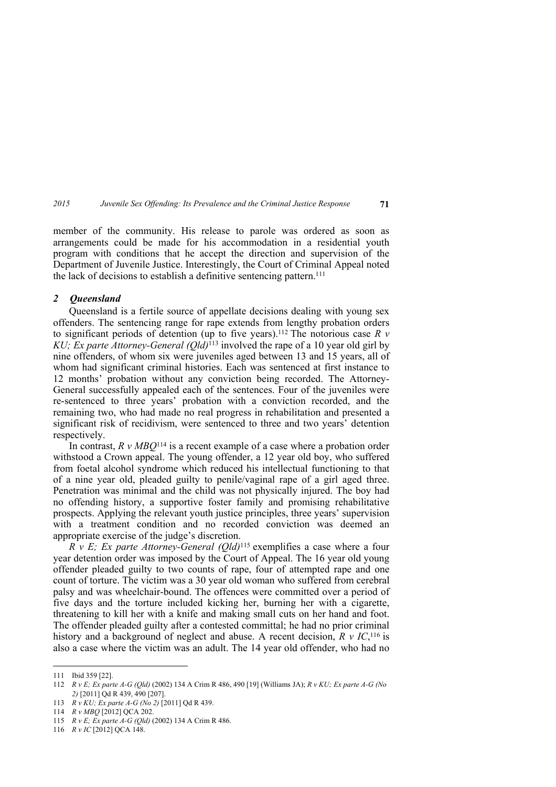member of the community. His release to parole was ordered as soon as arrangements could be made for his accommodation in a residential youth program with conditions that he accept the direction and supervision of the Department of Juvenile Justice. Interestingly, the Court of Criminal Appeal noted the lack of decisions to establish a definitive sentencing pattern.<sup>111</sup>

#### *2 Queensland*

Queensland is a fertile source of appellate decisions dealing with young sex offenders. The sentencing range for rape extends from lengthy probation orders to significant periods of detention (up to five years).112 The notorious case *R v KU; Ex parte Attorney-General (Qld)*<sup>113</sup> involved the rape of a 10 year old girl by nine offenders, of whom six were juveniles aged between 13 and 15 years, all of whom had significant criminal histories. Each was sentenced at first instance to 12 months' probation without any conviction being recorded. The Attorney-General successfully appealed each of the sentences. Four of the juveniles were re-sentenced to three years' probation with a conviction recorded, and the remaining two, who had made no real progress in rehabilitation and presented a significant risk of recidivism, were sentenced to three and two years' detention respectively.

In contrast, *R v MBQ*<sup>114</sup> is a recent example of a case where a probation order withstood a Crown appeal. The young offender, a 12 year old boy, who suffered from foetal alcohol syndrome which reduced his intellectual functioning to that of a nine year old, pleaded guilty to penile/vaginal rape of a girl aged three. Penetration was minimal and the child was not physically injured. The boy had no offending history, a supportive foster family and promising rehabilitative prospects. Applying the relevant youth justice principles, three years' supervision with a treatment condition and no recorded conviction was deemed an appropriate exercise of the judge's discretion.

*R v E; Ex parte Attorney-General (Qld)*<sup>115</sup> exemplifies a case where a four year detention order was imposed by the Court of Appeal. The 16 year old young offender pleaded guilty to two counts of rape, four of attempted rape and one count of torture. The victim was a 30 year old woman who suffered from cerebral palsy and was wheelchair-bound. The offences were committed over a period of five days and the torture included kicking her, burning her with a cigarette, threatening to kill her with a knife and making small cuts on her hand and foot. The offender pleaded guilty after a contested committal; he had no prior criminal history and a background of neglect and abuse. A recent decision, *R v IC*, <sup>116</sup> is also a case where the victim was an adult. The 14 year old offender, who had no

<sup>111</sup> Ibid 359 [22].

<sup>112</sup> *R v E; Ex parte A-G (Qld)* (2002) 134 A Crim R 486, 490 [19] (Williams JA); *R v KU; Ex parte A-G (No 2)* [2011] Qd R 439, 490 [207].

<sup>113</sup> *R v KU; Ex parte A-G (No 2)* [2011] Qd R 439.

<sup>114</sup> *R v MBQ* [2012] QCA 202.

<sup>115</sup> *R v E; Ex parte A-G (Qld)* (2002) 134 A Crim R 486.

<sup>116</sup> *R v IC* [2012] QCA 148.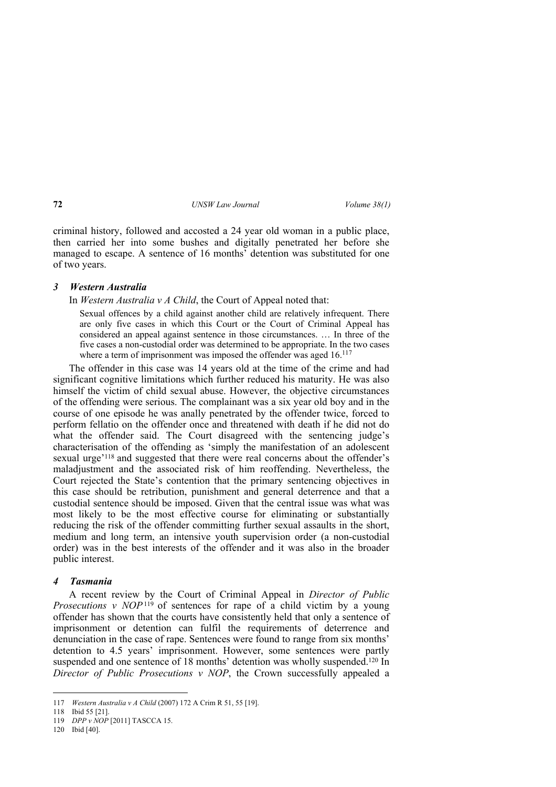criminal history, followed and accosted a 24 year old woman in a public place, then carried her into some bushes and digitally penetrated her before she managed to escape. A sentence of 16 months' detention was substituted for one of two years.

### *3 Western Australia*

In *Western Australia v A Child*, the Court of Appeal noted that:

Sexual offences by a child against another child are relatively infrequent. There are only five cases in which this Court or the Court of Criminal Appeal has considered an appeal against sentence in those circumstances. … In three of the five cases a non-custodial order was determined to be appropriate. In the two cases where a term of imprisonment was imposed the offender was aged 16.<sup>117</sup>

The offender in this case was 14 years old at the time of the crime and had significant cognitive limitations which further reduced his maturity. He was also himself the victim of child sexual abuse. However, the objective circumstances of the offending were serious. The complainant was a six year old boy and in the course of one episode he was anally penetrated by the offender twice, forced to perform fellatio on the offender once and threatened with death if he did not do what the offender said. The Court disagreed with the sentencing judge's characterisation of the offending as 'simply the manifestation of an adolescent sexual urge'118 and suggested that there were real concerns about the offender's maladjustment and the associated risk of him reoffending. Nevertheless, the Court rejected the State's contention that the primary sentencing objectives in this case should be retribution, punishment and general deterrence and that a custodial sentence should be imposed. Given that the central issue was what was most likely to be the most effective course for eliminating or substantially reducing the risk of the offender committing further sexual assaults in the short, medium and long term, an intensive youth supervision order (a non-custodial order) was in the best interests of the offender and it was also in the broader public interest.

### *4 Tasmania*

A recent review by the Court of Criminal Appeal in *Director of Public Prosecutions v NOP*<sup>119</sup> of sentences for rape of  $\hat{a}$  child victim by a young offender has shown that the courts have consistently held that only a sentence of imprisonment or detention can fulfil the requirements of deterrence and denunciation in the case of rape. Sentences were found to range from six months' detention to 4.5 years' imprisonment. However, some sentences were partly suspended and one sentence of 18 months' detention was wholly suspended.<sup>120</sup> In *Director of Public Prosecutions v NOP*, the Crown successfully appealed a

<sup>117</sup> *Western Australia v A Child* (2007) 172 A Crim R 51, 55 [19].

<sup>118</sup> Ibid 55 [21].

<sup>119</sup> *DPP v NOP* [2011] TASCCA 15.

<sup>120</sup> Ibid [40].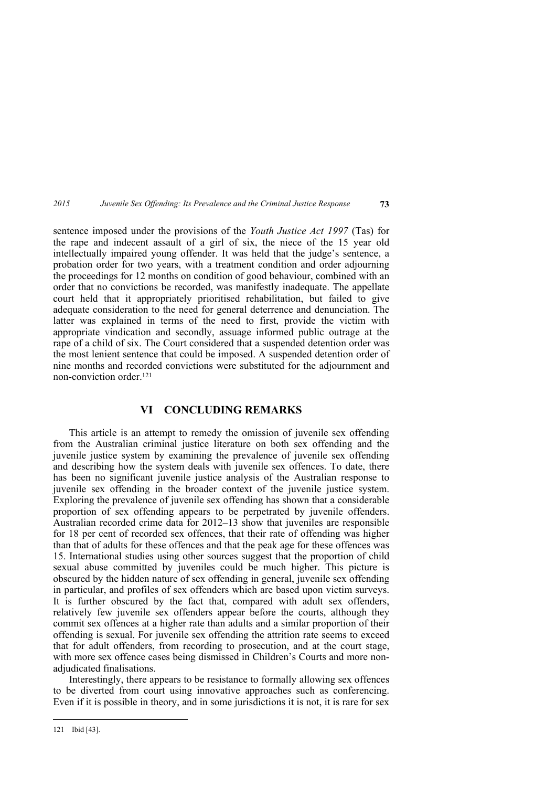sentence imposed under the provisions of the *Youth Justice Act 1997* (Tas) for the rape and indecent assault of a girl of six, the niece of the 15 year old intellectually impaired young offender. It was held that the judge's sentence, a probation order for two years, with a treatment condition and order adjourning the proceedings for 12 months on condition of good behaviour, combined with an order that no convictions be recorded, was manifestly inadequate. The appellate court held that it appropriately prioritised rehabilitation, but failed to give adequate consideration to the need for general deterrence and denunciation. The latter was explained in terms of the need to first, provide the victim with appropriate vindication and secondly, assuage informed public outrage at the rape of a child of six. The Court considered that a suspended detention order was the most lenient sentence that could be imposed. A suspended detention order of nine months and recorded convictions were substituted for the adjournment and non-conviction order<sup>121</sup>

## **VI CONCLUDING REMARKS**

This article is an attempt to remedy the omission of juvenile sex offending from the Australian criminal justice literature on both sex offending and the juvenile justice system by examining the prevalence of juvenile sex offending and describing how the system deals with juvenile sex offences. To date, there has been no significant juvenile justice analysis of the Australian response to juvenile sex offending in the broader context of the juvenile justice system. Exploring the prevalence of juvenile sex offending has shown that a considerable proportion of sex offending appears to be perpetrated by juvenile offenders. Australian recorded crime data for 2012–13 show that juveniles are responsible for 18 per cent of recorded sex offences, that their rate of offending was higher than that of adults for these offences and that the peak age for these offences was 15. International studies using other sources suggest that the proportion of child sexual abuse committed by juveniles could be much higher. This picture is obscured by the hidden nature of sex offending in general, juvenile sex offending in particular, and profiles of sex offenders which are based upon victim surveys. It is further obscured by the fact that, compared with adult sex offenders, relatively few juvenile sex offenders appear before the courts, although they commit sex offences at a higher rate than adults and a similar proportion of their offending is sexual. For juvenile sex offending the attrition rate seems to exceed that for adult offenders, from recording to prosecution, and at the court stage, with more sex offence cases being dismissed in Children's Courts and more nonadjudicated finalisations.

Interestingly, there appears to be resistance to formally allowing sex offences to be diverted from court using innovative approaches such as conferencing. Even if it is possible in theory, and in some jurisdictions it is not, it is rare for sex

<sup>121</sup> Ibid [43].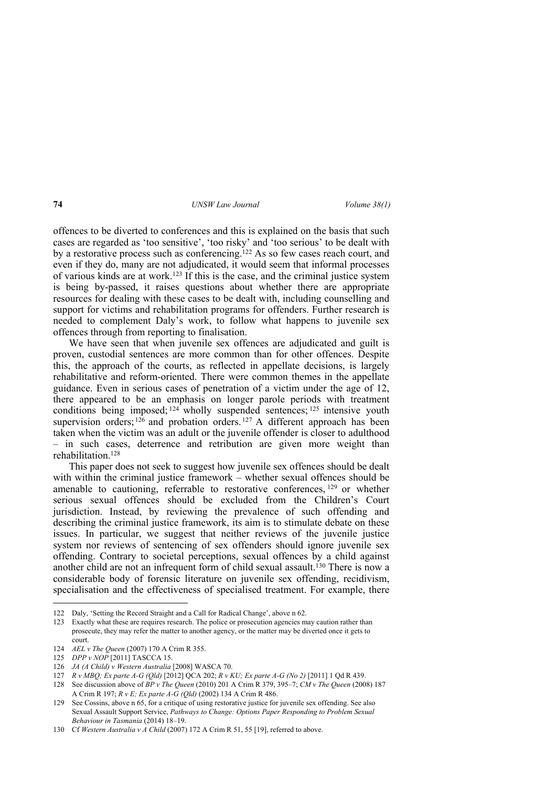offences to be diverted to conferences and this is explained on the basis that such cases are regarded as 'too sensitive', 'too risky' and 'too serious' to be dealt with by a restorative process such as conferencing.<sup>122</sup> As so few cases reach court, and even if they do, many are not adjudicated, it would seem that informal processes of various kinds are at work.123 If this is the case, and the criminal justice system is being by-passed, it raises questions about whether there are appropriate resources for dealing with these cases to be dealt with, including counselling and support for victims and rehabilitation programs for offenders. Further research is needed to complement Daly's work, to follow what happens to juvenile sex offences through from reporting to finalisation.

We have seen that when juvenile sex offences are adjudicated and guilt is proven, custodial sentences are more common than for other offences. Despite this, the approach of the courts, as reflected in appellate decisions, is largely rehabilitative and reform-oriented. There were common themes in the appellate guidance. Even in serious cases of penetration of a victim under the age of 12, there appeared to be an emphasis on longer parole periods with treatment conditions being imposed;  $124$  wholly suspended sentences;  $125$  intensive youth supervision orders;  $126$  and probation orders,  $127$  A different approach has been taken when the victim was an adult or the juvenile offender is closer to adulthood – in such cases, deterrence and retribution are given more weight than rehabilitation.<sup>128</sup>

This paper does not seek to suggest how juvenile sex offences should be dealt with within the criminal justice framework – whether sexual offences should be amenable to cautioning, referrable to restorative conferences, <sup>129</sup> or whether serious sexual offences should be excluded from the Children's Court jurisdiction. Instead, by reviewing the prevalence of such offending and describing the criminal justice framework, its aim is to stimulate debate on these issues. In particular, we suggest that neither reviews of the juvenile justice system nor reviews of sentencing of sex offenders should ignore juvenile sex offending. Contrary to societal perceptions, sexual offences by a child against another child are not an infrequent form of child sexual assault.<sup>130</sup> There is now a considerable body of forensic literature on juvenile sex offending, recidivism, specialisation and the effectiveness of specialised treatment. For example, there

<sup>122</sup> Daly, 'Setting the Record Straight and a Call for Radical Change', above n 62.

<sup>123</sup> Exactly what these are requires research. The police or prosecution agencies may caution rather than prosecute, they may refer the matter to another agency, or the matter may be diverted once it gets to court.

<sup>124</sup> *AEL v The Queen* (2007) 170 A Crim R 355.

<sup>125</sup> *DPP v NOP* [2011] TASCCA 15.

<sup>126</sup> *JA (A Child) v Western Australia* [2008] WASCA 70.

<sup>127</sup> *R v MBQ; Ex parte A-G (Qld)* [2012] QCA 202; *R v KU; Ex parte A-G (No 2)* [2011] 1 Qd R 439.

<sup>128</sup> See discussion above of *BP v The Queen* (2010) 201 A Crim R 379, 395–7; *CM v The Queen* (2008) 187 A Crim R 197; *R v E; Ex parte A-G (Qld)* (2002) 134 A Crim R 486.

<sup>129</sup> See Cossins, above n 65, for a critique of using restorative justice for juvenile sex offending. See also Sexual Assault Support Service, *Pathways to Change: Options Paper Responding to Problem Sexual Behaviour in Tasmania* (2014) 18–19.

<sup>130</sup> Cf *Western Australia v A Child* (2007) 172 A Crim R 51, 55 [19], referred to above.